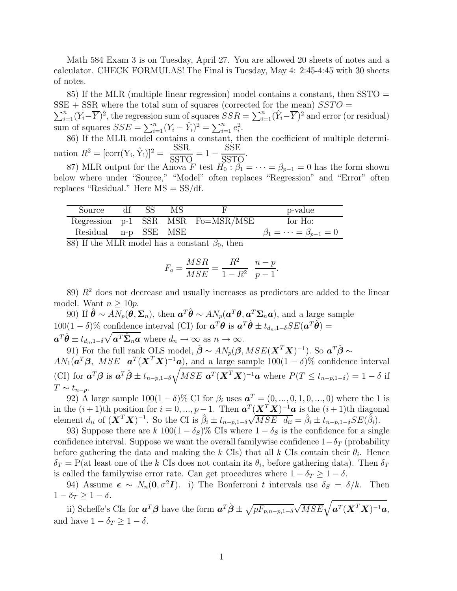Math 584 Exam 3 is on Tuesday, April 27. You are allowed 20 sheets of notes and a calculator. CHECK FORMULAS! The Final is Tuesday, May 4: 2:45-4:45 with 30 sheets of notes.

85) If the MLR (multiple linear regression) model contains a constant, then SSTO =  $SSE + SSR$  where the total sum of squares (corrected for the mean)  $SSTO =$  $\sum_{i=1}^{n} (Y_i - \overline{Y})^2$ , the regression sum of squares  $SSR = \sum_{i=1}^{n} (\hat{Y}_i - \overline{Y})^2$  and error (or residual) sum of squares  $SSE = \sum_{i=1}^{n} (Y_i - \hat{Y}_i)^2 = \sum_{i=1}^{n} e_i^2$ .

86) If the MLR model contains a constant, then the coefficient of multiple determination  $R^2 = [\text{corr}(Y_i, \hat{Y}_i)]^2 = \frac{SSR}{SSTG}$  ${\rm SSE}$ 

 $\frac{\text{SSE}}{\text{SSTO}} = 1 \frac{\overline{\text{SSTO}}}{\overline{\text{SSTO}}}$ . 87) MLR output for the Anova F test  $H_0: \beta_1 = \cdots = \beta_{p-1} = 0$  has the form shown below where under "Source," "Model" often replaces "Regression" and "Error" often replaces "Residual." Here MS = SS/df.

| Source df SS         |  | MS. |                                        | p-value                        |
|----------------------|--|-----|----------------------------------------|--------------------------------|
|                      |  |     | Regression $p-1$ SSR MSR Fo $=MSR/MSE$ | for Ho:                        |
| Residual n-p SSE MSE |  |     |                                        | $\beta_1=\cdots=\beta_{p-1}=0$ |
|                      |  |     |                                        |                                |

88) If the MLR model has a constant  $\beta_0$ , then

$$
F_o = \frac{MSR}{MSE} = \frac{R^2}{1 - R^2} \frac{n - p}{p - 1}.
$$

89)  $R<sup>2</sup>$  does not decrease and usually increases as predictors are added to the linear model. Want  $n \geq 10p$ .

90) If  $\hat{\theta} \sim AN_p(\theta, \Sigma_n)$ , then  $\mathbf{a}^T \hat{\theta} \sim AN_p(\mathbf{a}^T \theta, \mathbf{a}^T \Sigma_n \mathbf{a})$ , and a large sample 100(1 – δ)% confidence interval (CI) for  $\mathbf{a}^T \mathbf{\theta}$  is  $\mathbf{a}^T \hat{\mathbf{\theta}} \pm t_{d_n,1-\delta} SE(\mathbf{a}^T \hat{\mathbf{\theta}})$  =  $a^T \hat{\theta} \pm t_{d_n, 1-\delta} \sqrt{a^T \hat{\Sigma}_n a}$  where  $d_n \to \infty$  as  $n \to \infty$ .

91) For the full rank OLS model,  $\hat{\boldsymbol{\beta}} \sim AN_p(\boldsymbol{\beta},MSE(\boldsymbol{X}^T\boldsymbol{X})^{-1})$ . So  $\boldsymbol{a}^T\hat{\boldsymbol{\beta}} \sim$  $AN_1(\boldsymbol{a}^T\boldsymbol{\beta}, \ MSE \boldsymbol{a}^T(\boldsymbol{X}^T\boldsymbol{X})^{-1}\boldsymbol{a}),$  and a large sample 100(1 – δ)% confidence interval (CI) for  $\mathbf{a}^T\boldsymbol{\beta}$  is  $\mathbf{a}^T\hat{\boldsymbol{\beta}} \pm t_{n-p,1-\delta}\sqrt{MSE \mathbf{a}^T(\mathbf{X}^T\mathbf{X})^{-1}\mathbf{a}}$  where  $P(T \le t_{n-p,1-\delta}) = 1 - \delta$  if  $T \sim t_{n-p}$ .

92) A large sample  $100(1 - \delta)$ % CI for  $\beta_i$  uses  $a^T = (0, ..., 0, 1, 0, ..., 0)$  where the 1 is in the  $(i+1)$ th position for  $i=0,\ldots,p-1$ . Then  $\boldsymbol{a}^T(\boldsymbol{X}^T\boldsymbol{X})^{-1}\boldsymbol{a}$  is the  $(i+1)$ th diagonal element  $d_{ii}$  of  $(\mathbf{X}^T \mathbf{X})^{-1}$ . So the CI is  $\hat{\beta}_i \pm t_{n-p,1-\delta} \sqrt{MSE} \ \hat{d}_{ii} = \hat{\beta}_i \pm t_{n-p,1-\delta} SE(\hat{\beta}_i)$ .

93) Suppose there are k  $100(1 - \delta_S)\%$  CIs where  $1 - \delta_S$  is the confidence for a single confidence interval. Suppose we want the overall familywise confidence  $1-\delta_T$  (probability before gathering the data and making the k CIs) that all k CIs contain their  $\theta_i$ . Hence  $\delta_T = P(\text{at least one of the } k \text{ CIs does not contain its } \theta_i, \text{ before gathering data}).$  Then  $\delta_T$ is called the familywise error rate. Can get procedures where  $1 - \delta_T \geq 1 - \delta$ .

94) Assume  $\epsilon \sim N_n(0, \sigma^2 I)$ . i) The Bonferroni t intervals use  $\delta_S = \delta/k$ . Then  $1 - \delta_T \geq 1 - \delta$ .

ii) Scheffe's CIs for  $\mathbf{a}^T\boldsymbol{\beta}$  have the form  $\mathbf{a}^T\hat{\boldsymbol{\beta}} \pm \sqrt{pF_{p,n-p,1-\delta}}\sqrt{MSE}\sqrt{\mathbf{a}^T(\mathbf{X}^T\mathbf{X})^{-1}\mathbf{a}}$ , and have  $1 - \delta_T \geq 1 - \delta$ .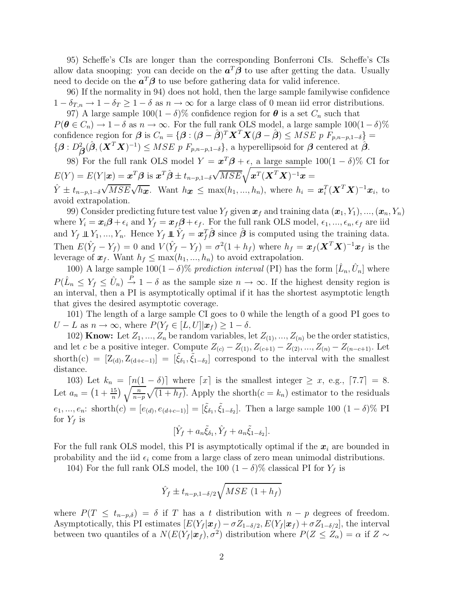95) Scheffe's CIs are longer than the corresponding Bonferroni CIs. Scheffe's CIs allow data snooping: you can decide on the  $a^T\beta$  to use after getting the data. Usually need to decide on the  $a^T\beta$  to use before gathering data for valid inference.

96) If the normality in 94) does not hold, then the large sample familywise confidence  $1 - \delta_{T,n} \to 1 - \delta_T \ge 1 - \delta$  as  $n \to \infty$  for a large class of 0 mean iid error distributions.

97) A large sample  $100(1 - \delta)$ % confidence region for  $\theta$  is a set  $C_n$  such that  $P(\theta \in C_n) \to 1-\delta$  as  $n \to \infty$ . For the full rank OLS model, a large sample  $100(1-\delta)\%$ confidence region for  $\boldsymbol{\beta}$  is  $C_n = {\boldsymbol{\beta} : (\boldsymbol{\beta} - \hat{\boldsymbol{\beta}})^T \mathbf{X}^T \mathbf{X} (\boldsymbol{\beta} - \hat{\boldsymbol{\beta}})} \le MSE \ p \ F_{p,n-p,1-\delta}$  $\{ \boldsymbol{\beta} : D^2_{\boldsymbol{\beta}}(\hat{\boldsymbol{\beta}}, (\boldsymbol{X}^T\boldsymbol{X})^{-1}) \leq MSE \ p \ F_{p,n-p,1-\delta} \},$  a hyperellipsoid for  $\boldsymbol{\beta}$  centered at  $\hat{\boldsymbol{\beta}}$ .

98) For the full rank OLS model  $Y = \mathbf{x}^T \boldsymbol{\beta} + \epsilon$ , a large sample  $100(1 - \delta)$ % CI for  $E(Y) = E(Y|\boldsymbol{x}) = \boldsymbol{x}^T\boldsymbol{\beta} \text{ is } \boldsymbol{x}^T\hat{\boldsymbol{\beta}} \pm t_{n-p,1-\delta}\sqrt{MSE}\sqrt{\boldsymbol{x}^T(\boldsymbol{X}^T\boldsymbol{X})^{-1}\boldsymbol{x}} =$  $\hat{Y} \pm t_{n-p,1-\delta} \sqrt{MSE} \sqrt{h_{\boldsymbol{x}}}$ . Want  $h_{\boldsymbol{x}} \leq \max(h_1, ..., h_n)$ , where  $h_i = \boldsymbol{x}_i^T (\boldsymbol{X}^T \boldsymbol{X})^{-1} \boldsymbol{x}_i$ , to avoid extrapolation.

99) Consider predicting future test value  $Y_f$  given  $x_f$  and training data  $(x_1, Y_1), ..., (x_n, Y_n)$ where  $Y_i = x_i \beta + \epsilon_i$  and  $Y_f = x_f \beta + \epsilon_f$ . For the full rank OLS model,  $\epsilon_1, ..., \epsilon_n, \epsilon_f$  are iid and  $Y_f \perp\!\!\!\perp Y_1, ..., Y_n$ . Hence  $Y_f \perp\!\!\!\perp \hat{Y}_f = \boldsymbol{x}_f^T \hat{\boldsymbol{\beta}}$  since  $\hat{\boldsymbol{\beta}}$  is computed using the training data. Then  $E(\hat{Y}_f - Y_f) = 0$  and  $V(\hat{Y}_f - Y_f) = \sigma^2(1 + h_f)$  where  $h_f = \boldsymbol{x}_f(\boldsymbol{X}^T\boldsymbol{X})^{-1}\boldsymbol{x}_f$  is the leverage of  $x_f$ . Want  $h_f \leq \max(h_1, ..., h_n)$  to avoid extrapolation.

100) A large sample  $100(1 - \delta)$ % prediction interval (PI) has the form  $[\hat{L}_n, \hat{U}_n]$  where  $P(\hat{L}_n \leq Y_f \leq \hat{U}_n) \stackrel{P}{\rightarrow} 1 - \delta$  as the sample size  $n \rightarrow \infty$ . If the highest density region is an interval, then a PI is asymptotically optimal if it has the shortest asymptotic length that gives the desired asymptotic coverage.

101) The length of a large sample CI goes to 0 while the length of a good PI goes to  $U - L$  as  $n \to \infty$ , where  $P(Y_f \in [L, U] | \mathbf{x}_f) \geq 1 - \delta$ .

102) **Know:** Let  $Z_1, ..., Z_n$  be random variables, let  $Z_{(1)}, ..., Z_{(n)}$  be the order statistics, and let c be a positive integer. Compute  $Z_{(c)} - Z_{(1)}, Z_{(c+1)} - Z_{(2)}, ..., Z_{(n)} - Z_{(n-c+1)}$ . Let shorth(c) =  $[Z_{(d)}, Z_{(d+c-1)}] = [\tilde{\xi}_{\delta_1}, \tilde{\xi}_{1-\delta_2}]$  correspond to the interval with the smallest distance.

103) Let  $k_n = \lfloor n(1 - \delta) \rfloor$  where  $\lfloor x \rfloor$  is the smallest integer  $\geq x$ , e.g.,  $\lfloor 7.7 \rfloor = 8$ . Let  $a_n = \left(1 + \frac{15}{n}\right) \sqrt{\frac{n}{n-p}} \sqrt{(1+h_f)}$ . Apply the shorth $(c = k_n)$  estimator to the residuals  $e_1, ..., e_n$ : shorth $(c) = [e_{(d)}, e_{(d+c-1)}] = [\tilde{\xi}_{\delta_1}, \tilde{\xi}_{1-\delta_2}]$ . Then a large sample 100  $(1-\delta)\%$  PI for  $Y_f$  is

$$
[\hat{Y}_f + a_n \tilde{\xi}_{\delta_1}, \hat{Y}_f + a_n \tilde{\xi}_{1-\delta_2}].
$$

For the full rank OLS model, this PI is asymptotically optimal if the  $x_i$  are bounded in probability and the iid  $\epsilon_i$  come from a large class of zero mean unimodal distributions.

104) For the full rank OLS model, the 100  $(1 - \delta)$ % classical PI for  $Y_f$  is

$$
\hat{Y}_f \pm t_{n-p,1-\delta/2} \sqrt{MSE\ (1+h_f)}
$$

where  $P(T \leq t_{n-p,\delta}) = \delta$  if T has a t distribution with  $n-p$  degrees of freedom. Asymptotically, this PI estimates  $[E(Y_f | x_f) - \sigma Z_{1-\delta/2}, E(Y_f | x_f) + \sigma Z_{1-\delta/2}]$ , the interval between two quantiles of a  $N(E(Y_f | \boldsymbol{x}_f), \sigma^2)$  distribution where  $P(Z \le Z_\alpha) = \alpha$  if  $Z \sim$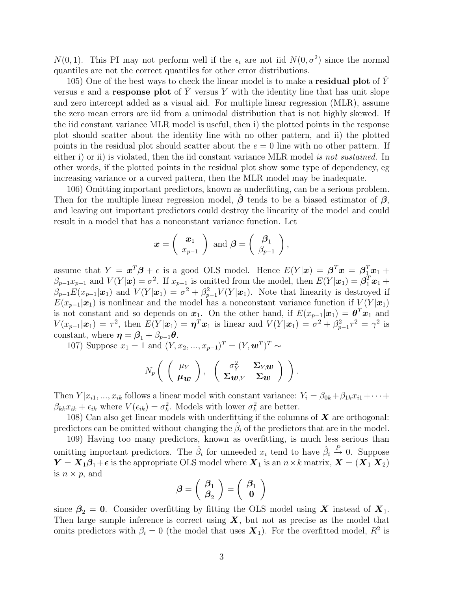$N(0, 1)$ . This PI may not perform well if the  $\epsilon_i$  are not iid  $N(0, \sigma^2)$  since the normal quantiles are not the correct quantiles for other error distributions.

105) One of the best ways to check the linear model is to make a **residual plot** of Y versus e and a response plot of  $\tilde{Y}$  versus Y with the identity line that has unit slope and zero intercept added as a visual aid. For multiple linear regression (MLR), assume the zero mean errors are iid from a unimodal distribution that is not highly skewed. If the iid constant variance MLR model is useful, then i) the plotted points in the response plot should scatter about the identity line with no other pattern, and ii) the plotted points in the residual plot should scatter about the  $e = 0$  line with no other pattern. If either i) or ii) is violated, then the iid constant variance MLR model is not sustained. In other words, if the plotted points in the residual plot show some type of dependency, eg increasing variance or a curved pattern, then the MLR model may be inadequate.

106) Omitting important predictors, known as underfitting, can be a serious problem. Then for the multiple linear regression model,  $\beta$  tends to be a biased estimator of  $\beta$ , and leaving out important predictors could destroy the linearity of the model and could result in a model that has a nonconstant variance function. Let

$$
\boldsymbol{x} = \left(\begin{array}{c} \boldsymbol{x}_1 \\ x_{p-1} \end{array}\right) \text{ and } \boldsymbol{\beta} = \left(\begin{array}{c} \boldsymbol{\beta}_1 \\ \beta_{p-1} \end{array}\right),
$$

assume that  $Y = x^T \beta + \epsilon$  is a good OLS model. Hence  $E(Y|x) = \beta^T x = \beta^T x_1 + \epsilon^T x_2$  $\beta_{p-1}x_{p-1}$  and  $V(Y|\boldsymbol{x}) = \sigma^2$ . If  $x_{p-1}$  is omitted from the model, then  $E(Y|\boldsymbol{x}_1) = \boldsymbol{\beta}_1^T\boldsymbol{x}_1 + \boldsymbol{\beta}_2^T\boldsymbol{x}_2 + \boldsymbol{\beta}_3^T\boldsymbol{x}_3$  $\beta_{p-1}E(x_{p-1}|\mathbf{x}_1)$  and  $V(Y|\mathbf{x}_1) = \sigma^2 + \beta_{p-1}^2V(Y|\mathbf{x}_1)$ . Note that linearity is destroyed if  $E(x_{p-1}|\mathbf{x}_1)$  is nonlinear and the model has a nonconstant variance function if  $V(Y|\mathbf{x}_1)$ is not constant and so depends on  $x_1$ . On the other hand, if  $E(x_{p-1}|\mathbf{x}_1) = \boldsymbol{\theta}^T \mathbf{x}_1$  and  $V(x_{p-1}|\boldsymbol{x}_1) = \tau^2$ , then  $E(Y|\boldsymbol{x}_1) = \boldsymbol{\eta}^T \boldsymbol{x}_1$  is linear and  $V(Y|\boldsymbol{x}_1) = \sigma^2 + \beta_{p-1}^2 \tau^2 = \gamma^2$  is constant, where  $\boldsymbol{\eta} = \boldsymbol{\beta}_1 + \beta_{p-1}\boldsymbol{\theta}$ .

107) Suppose  $x_1 = 1$  and  $(Y, x_2, ..., x_{p-1})^T = (Y, \mathbf{w}^T)^T \sim$ 

$$
N_p\left(\begin{array}{c} \left(\begin{array}{c} \mu_Y \\ \mu_{\bm{w}} \end{array}\right), \begin{array}{c} \left(\begin{array}{cc} \sigma_Y^2 & \Sigma_{Y,\bm{w}} \\ \Sigma_{\bm{w},Y} & \Sigma_{\bm{w}} \end{array}\right) \end{array}\right).
$$

Then  $Y | x_{i1}, ..., x_{ik}$  follows a linear model with constant variance:  $Y_i = \beta_{0k} + \beta_{1k}x_{i1} + \cdots$  $\beta_{kk} x_{ik} + \epsilon_{ik}$  where  $V(\epsilon_{ik}) = \sigma_k^2$ . Models with lower  $\sigma_k^2$  are better.

108) Can also get linear models with underfitting if the columns of  $X$  are orthogonal: predictors can be omitted without changing the  $\beta_i$  of the predictors that are in the model.

109) Having too many predictors, known as overfitting, is much less serious than omitting important predictors. The  $\hat{\beta}_i$  for unneeded  $x_i$  tend to have  $\hat{\beta}_i \stackrel{P}{\rightarrow} 0$ . Suppose  $Y = X_1\beta_1 + \epsilon$  is the appropriate OLS model where  $X_1$  is an  $n \times k$  matrix,  $X = (X_1, X_2)$ is  $n \times p$ , and

$$
\boldsymbol{\beta}=\left(\begin{array}{c}\boldsymbol{\beta}_1\\\boldsymbol{\beta}_2\end{array}\right)=\left(\begin{array}{c}\boldsymbol{\beta}_1\\ \mathbf{0}\end{array}\right)
$$

since  $\beta_2 = 0$ . Consider overfitting by fitting the OLS model using X instead of  $X_1$ . Then large sample inference is correct using  $X$ , but not as precise as the model that omits predictors with  $\beta_i = 0$  (the model that uses  $\mathbf{X}_1$ ). For the overfitted model,  $R^2$  is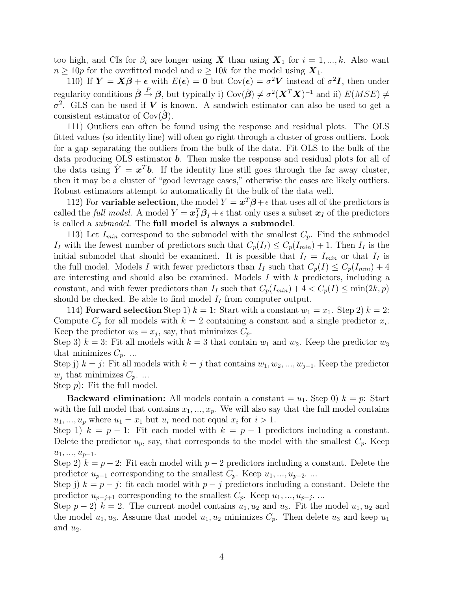too high, and CIs for  $\beta_i$  are longer using X than using  $X_1$  for  $i = 1, ..., k$ . Also want  $n \ge 10p$  for the overfitted model and  $n \ge 10k$  for the model using  $\mathbf{X}_1$ .

110) If  $Y = X\beta + \epsilon$  with  $E(\epsilon) = 0$  but  $Cov(\epsilon) = \sigma^2 V$  instead of  $\sigma^2 I$ , then under regularity conditions  $\hat{\boldsymbol{\beta}} \stackrel{P}{\rightarrow} \boldsymbol{\beta}$ , but typically i) Cov $(\hat{\boldsymbol{\beta}}) \neq \sigma^2(\boldsymbol{X}^T\boldsymbol{X})^{-1}$  and ii)  $E(MSE) \neq$  $\sigma^2$ . GLS can be used if V is known. A sandwich estimator can also be used to get a consistent estimator of  $Cov(\boldsymbol{\beta})$ .

111) Outliers can often be found using the response and residual plots. The OLS fitted values (so identity line) will often go right through a cluster of gross outliers. Look for a gap separating the outliers from the bulk of the data. Fit OLS to the bulk of the data producing OLS estimator b. Then make the response and residual plots for all of the data using  $\hat{Y} = x^T b$ . If the identity line still goes through the far away cluster, then it may be a cluster of "good leverage cases," otherwise the cases are likely outliers. Robust estimators attempt to automatically fit the bulk of the data well.

112) For variable selection, the model  $Y = x^T \beta + \epsilon$  that uses all of the predictors is called the *full model*. A model  $Y = \mathbf{x}_I^T \mathbf{\beta}_I + \epsilon$  that only uses a subset  $\mathbf{x}_I$  of the predictors is called a *submodel*. The full model is always a submodel.

113) Let  $I_{min}$  correspond to the submodel with the smallest  $C_p$ . Find the submodel If with the fewest number of predictors such that  $C_p(I_I) \leq C_p(I_{min}) + 1$ . Then If is the initial submodel that should be examined. It is possible that  $I_I = I_{min}$  or that  $I_I$  is the full model. Models I with fewer predictors than  $I_I$  such that  $C_p(I) \leq C_p(I_{min}) + 4$ are interesting and should also be examined. Models  $I$  with  $k$  predictors, including a constant, and with fewer predictors than  $I_I$  such that  $C_p(I_{min}) + 4 < C_p(I) \le \min(2k, p)$ should be checked. Be able to find model  $I_I$  from computer output.

114) **Forward selection** Step 1)  $k = 1$ : Start with a constant  $w_1 = x_1$ . Step 2)  $k = 2$ : Compute  $C_p$  for all models with  $k=2$  containing a constant and a single predictor  $x_i$ . Keep the predictor  $w_2 = x_j$ , say, that minimizes  $C_p$ .

Step 3)  $k = 3$ : Fit all models with  $k = 3$  that contain  $w_1$  and  $w_2$ . Keep the predictor  $w_3$ that minimizes  $C_p$ . ...

Step j)  $k = j$ : Fit all models with  $k = j$  that contains  $w_1, w_2, ..., w_{j-1}$ . Keep the predictor  $w_i$  that minimizes  $C_p$ ...

Step p): Fit the full model.

**Backward elimination:** All models contain a constant  $=u_1$ . Step 0)  $k = p$ : Start with the full model that contains  $x_1, ..., x_p$ . We will also say that the full model contains  $u_1, ..., u_p$  where  $u_1 = x_1$  but  $u_i$  need not equal  $x_i$  for  $i > 1$ .

Step 1)  $k = p - 1$ : Fit each model with  $k = p - 1$  predictors including a constant. Delete the predictor  $u_p$ , say, that corresponds to the model with the smallest  $C_p$ . Keep  $u_1, \ldots, u_{p-1}.$ 

Step 2)  $k = p - 2$ : Fit each model with  $p - 2$  predictors including a constant. Delete the predictor  $u_{p-1}$  corresponding to the smallest  $C_p$ . Keep  $u_1, ..., u_{p-2}$ . ...

Step j)  $k = p - j$ : fit each model with  $p - j$  predictors including a constant. Delete the predictor  $u_{p-j+1}$  corresponding to the smallest  $C_p$ . Keep  $u_1, ..., u_{p-j}$ . ...

Step  $p-2$ )  $k = 2$ . The current model contains  $u_1, u_2$  and  $u_3$ . Fit the model  $u_1, u_2$  and the model  $u_1, u_3$ . Assume that model  $u_1, u_2$  minimizes  $C_p$ . Then delete  $u_3$  and keep  $u_1$ and  $u_2$ .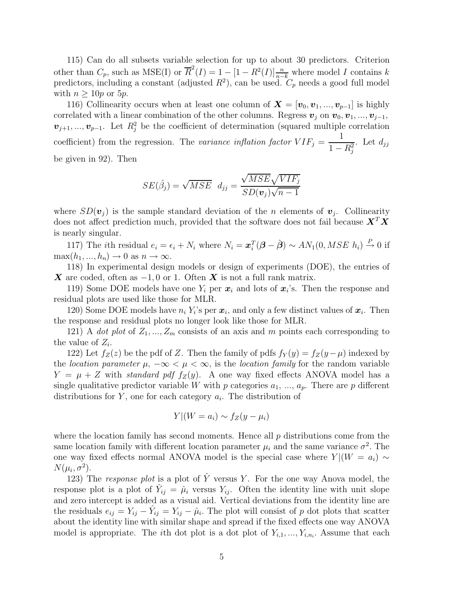115) Can do all subsets variable selection for up to about 30 predictors. Criterion other than  $C_p$ , such as MSE(I) or  $\overline{R}^2(I) = 1 - [1 - R^2(I)] \frac{n}{n-k}$  where model I contains k predictors, including a constant (adjusted  $R^2$ ), can be used.  $C_p$  needs a good full model with  $n \geq 10p$  or  $5p$ .

116) Collinearity occurs when at least one column of  $\mathbf{X} = [\mathbf{v}_0, \mathbf{v}_1, ..., \mathbf{v}_{p-1}]$  is highly correlated with a linear combination of the other columns. Regress  $v_j$  on  $v_0, v_1, ..., v_{j-1}$ ,  $\mathbf{v}_{j+1},...,\mathbf{v}_{p-1}$ . Let  $R_j^2$  be the coefficient of determination (squared multiple correlation coefficient) from the regression. The variance inflation factor  $VIF_j = \frac{1}{1 - V}$  $1 - R_j^2$ . Let  $d_{jj}$ be given in 92). Then

$$
SE(\hat{\beta}_j) = \sqrt{MSE} \ d_{jj} = \frac{\sqrt{MSE}\sqrt{VIF_j}}{SD(\mathbf{v}_j)\sqrt{n-1}}
$$

where  $SD(\mathbf{v}_i)$  is the sample standard deviation of the *n* elements of  $\mathbf{v}_i$ . Collinearity does not affect prediction much, provided that the software does not fail because  $X^T X$ is nearly singular.

117) The *i*th residual  $e_i = \epsilon_i + N_i$  where  $N_i = \boldsymbol{x}_i^T(\boldsymbol{\beta} - \hat{\boldsymbol{\beta}}) \sim AN_1(0, MSE \ h_i) \stackrel{P}{\rightarrow} 0$  if  $\max(h_1, ..., h_n) \to 0$  as  $n \to \infty$ .

118) In experimental design models or design of experiments (DOE), the entries of **X** are coded, often as  $-1, 0$  or 1. Often **X** is not a full rank matrix.

119) Some DOE models have one  $Y_i$  per  $x_i$  and lots of  $x_i$ 's. Then the response and residual plots are used like those for MLR.

120) Some DOE models have  $n_i Y_i$ 's per  $\mathbf{x}_i$ , and only a few distinct values of  $\mathbf{x}_i$ . Then the response and residual plots no longer look like those for MLR.

121) A dot plot of  $Z_1, ..., Z_m$  consists of an axis and m points each corresponding to the value of  $Z_i$ .

122) Let  $f_Z(z)$  be the pdf of Z. Then the family of pdfs  $f_Y(y) = f_Z(y-\mu)$  indexed by the location parameter  $\mu$ ,  $-\infty < \mu < \infty$ , is the location family for the random variable  $Y = \mu + Z$  with standard pdf  $f_Z(y)$ . A one way fixed effects ANOVA model has a single qualitative predictor variable W with p categories  $a_1, ..., a_p$ . There are p different distributions for  $Y$ , one for each category  $a_i$ . The distribution of

$$
Y|(W=a_i) \sim f_Z(y-\mu_i)
$$

where the location family has second moments. Hence all  $p$  distributions come from the same location family with different location parameter  $\mu_i$  and the same variance  $\sigma^2$ . The one way fixed effects normal ANOVA model is the special case where  $Y | (W = a_i) \sim$  $N(\mu_i, \sigma^2)$ .

123) The response plot is a plot of  $\hat{Y}$  versus Y. For the one way Anova model, the response plot is a plot of  $\hat{Y}_{ij} = \hat{\mu}_i$  versus  $Y_{ij}$ . Often the identity line with unit slope and zero intercept is added as a visual aid. Vertical deviations from the identity line are the residuals  $e_{ij} = Y_{ij} - \hat{Y}_{ij} = Y_{ij} - \hat{\mu}_i$ . The plot will consist of p dot plots that scatter about the identity line with similar shape and spread if the fixed effects one way ANOVA model is appropriate. The *i*th dot plot is a dot plot of  $Y_{i,1},..., Y_{i,n_i}$ . Assume that each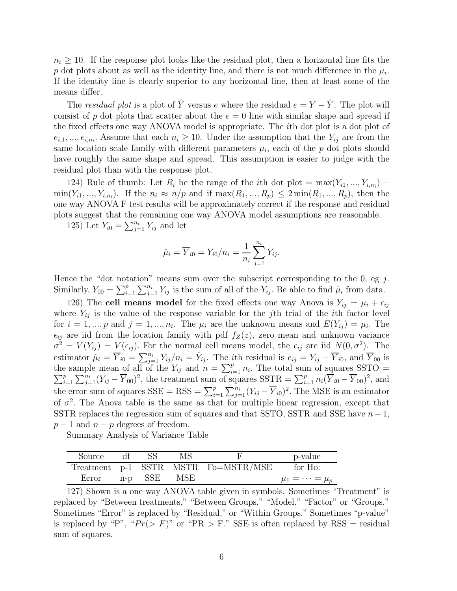$n_i \geq 10$ . If the response plot looks like the residual plot, then a horizontal line fits the p dot plots about as well as the identity line, and there is not much difference in the  $\mu_i$ . If the identity line is clearly superior to any horizontal line, then at least some of the means differ.

The *residual plot* is a plot of  $\hat{Y}$  versus e where the residual  $e = Y - \hat{Y}$ . The plot will consist of p dot plots that scatter about the  $e = 0$  line with similar shape and spread if the fixed effects one way ANOVA model is appropriate. The ith dot plot is a dot plot of  $e_{i,1},...,e_{i,n_i}$ . Assume that each  $n_i \geq 10$ . Under the assumption that the  $Y_{ij}$  are from the same location scale family with different parameters  $\mu_i$ , each of the p dot plots should have roughly the same shape and spread. This assumption is easier to judge with the residual plot than with the response plot.

124) Rule of thumb: Let  $R_i$  be the range of the *i*th dot plot =  $\max(Y_{i1},...,Y_{i,n_i})$  –  $\min(Y_{i1},...,Y_{i,n_i})$ . If the  $n_i \approx n/p$  and if  $\max(R_1,...,R_p) \leq 2 \min(R_1,...,R_p)$ , then the one way ANOVA F test results will be approximately correct if the response and residual plots suggest that the remaining one way ANOVA model assumptions are reasonable.

125) Let  $Y_{i0} = \sum_{j=1}^{n_i} Y_{ij}$  and let

$$
\hat{\mu}_i = \overline{Y}_{i0} = Y_{i0}/n_i = \frac{1}{n_i} \sum_{j=1}^{n_i} Y_{ij}.
$$

Hence the "dot notation" means sum over the subscript corresponding to the 0, eg  $j$ . Similarly,  $Y_{00} = \sum_{i=1}^{p} \sum_{j=1}^{n_i} Y_{ij}$  is the sum of all of the  $Y_{ij}$ . Be able to find  $\hat{\mu}_i$  from data.

126) The cell means model for the fixed effects one way Anova is  $Y_{ij} = \mu_i + \epsilon_{ij}$ where  $Y_{ij}$  is the value of the response variable for the j<sup>th</sup> trial of the *i*th factor level for  $i = 1, ..., p$  and  $j = 1, ..., n_i$ . The  $\mu_i$  are the unknown means and  $E(Y_{ij}) = \mu_i$ . The  $\epsilon_{ij}$  are iid from the location family with pdf  $f_Z(z)$ , zero mean and unknown variance  $\sigma^2 = V(Y_{ij}) = V(\epsilon_{ij}).$  For the normal cell means model, the  $\epsilon_{ij}$  are iid  $N(0, \sigma^2)$ . The estimator  $\hat{\mu}_i = \overline{Y}_{i0} = \sum_{j=1}^{n_i} Y_{ij}/n_i = \hat{Y}_{ij}$ . The *i*th residual is  $e_{ij} = Y_{ij} - \overline{Y}_{i0}$ , and  $\overline{Y}_{00}$  is the sample mean of all of the  $Y_{ij}$  and  $n = \sum_{i=1}^p n_i$ . The total sum of squares SSTO =  $\sum_{i=1}^p \sum_{i=1}^{n_i} (Y_{ij} - \overline{Y}_{00})^2$ , the treatment sum of squares SSTR =  $\sum_{i=1}^p n_i (\overline{Y}_{i0} - \overline{Y}_{00})^2$ , and  $\sum_{i=1}^{p} \sum_{j=1}^{n_i} (Y_{ij} - \overline{Y}_{00})^2$ , the treatment sum of squares  $SSTR = \sum_{i=1}^{p} n_i (\overline{Y}_{i0} - \overline{Y}_{00})^2$ , and the error sum of squares  $SSE = RSS = \sum_{i=1}^{p} \sum_{j=1}^{n_i} (Y_{ij} - \overline{Y}_{i0})^2$ . The MSE is an estimator of  $\sigma^2$ . The Anova table is the same as that for multiple linear regression, except that SSTR replaces the regression sum of squares and that SSTO, SSTR and SSE have  $n-1$ ,  $p-1$  and  $n-p$  degrees of freedom.

Summary Analysis of Variance Table

| Source | df. |         | MS-         |                                     | p-value                  |
|--------|-----|---------|-------------|-------------------------------------|--------------------------|
|        |     |         |             | Treatment p-1 SSTR MSTR Fo=MSTR/MSE | for Ho:                  |
| Error  |     | n-p SSE | ${\rm MSE}$ |                                     | $\mu_1 = \cdots = \mu_n$ |

<sup>127)</sup> Shown is a one way ANOVA table given in symbols. Sometimes "Treatment" is replaced by "Between treatments," "Between Groups," "Model," "Factor" or "Groups." Sometimes "Error" is replaced by "Residual," or "Within Groups." Sometimes "p-value" is replaced by "P", " $Pr(> F)$ " or "PR > F." SSE is often replaced by RSS = residual sum of squares.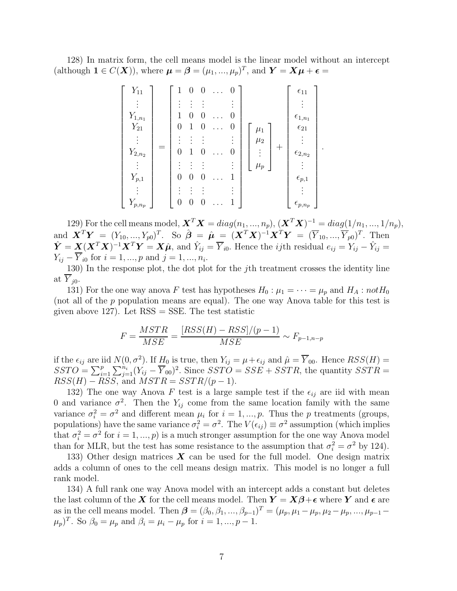128) In matrix form, the cell means model is the linear model without an intercept (although  $1 \in C(\boldsymbol{X})$ ), where  $\boldsymbol{\mu} = \boldsymbol{\beta} = (\mu_1, ..., \mu_p)^T$ , and  $\boldsymbol{Y} = \boldsymbol{X}\boldsymbol{\mu} + \boldsymbol{\epsilon} =$ 

| $Y_{11}$    | 1        | 0 | 0 | $\ddots$ |   |                    | $\epsilon_{11}$    |
|-------------|----------|---|---|----------|---|--------------------|--------------------|
|             |          |   |   |          |   |                    |                    |
| $Y_{1,n_1}$ |          |   |   |          | 0 |                    | $\epsilon_{1,n_1}$ |
| $Y_{21}$    | 0        | 1 | U | .        | U | $\mu_1$            | $\epsilon_{21}$    |
|             |          |   |   |          |   | $\mu_2$            |                    |
| $Y_{2,n_2}$ | 0        |   |   | $\cdots$ | O | $^{+}$<br>$\vdots$ | $\epsilon_{2,n_2}$ |
|             |          |   |   |          |   | $\mu_p$            |                    |
| $Y_{p,1}$   | $\theta$ | O | U |          |   |                    | $\epsilon_{p,1}$   |
|             |          |   |   |          |   |                    |                    |
| $Y_{p,n_p}$ |          |   |   |          |   |                    | $\epsilon_{p,n_p}$ |

129) For the cell means model,  $\mathbf{X}^T \mathbf{X} = diag(n_1, ..., n_p), (\mathbf{X}^T \mathbf{X})^{-1} = diag(1/n_1, ..., 1/n_p),$ and  ${\bm X}^T {\bm Y} = (Y_{10},...,Y_{p0})^T$ . So  $\hat{\bm \beta} = \hat{\bm \mu} = ({\bm X}^T {\bm X})^{-1} {\bm X}^T {\bm Y} = (\overline{Y}_{10},...,\overline{Y}_{p0})^T$ . Then  $\hat{Y} = \underline{X}(X^T X)^{-1} X^T Y = X \hat{\mu}$ , and  $\hat{Y}_{ij} = \overline{Y}_{i0}$ . Hence the *ij*th residual  $e_{ij} = Y_{ij} - \hat{Y}_{ij} = \overline{Y}_{i0}$  $Y_{ij} - Y_{i0}$  for  $i = 1, ..., p$  and  $j = 1, ..., n_i$ .

130) In the response plot, the dot plot for the jth treatment crosses the identity line at  $\overline{Y}_{i0}$ .

131) For the one way anova F test has hypotheses  $H_0 : \mu_1 = \cdots = \mu_p$  and  $H_A : notH_0$ (not all of the p population means are equal). The one way Anova table for this test is given above 127). Let  $RSS = SSE$ . The test statistic

$$
F = \frac{MSTR}{MSE} = \frac{[RSS(H) - RSS]/(p-1)}{MSE} \sim F_{p-1, n-p}
$$

if the  $\epsilon_{ij}$  are iid  $N(0, \sigma^2)$ . If  $H_0$  is true, then  $Y_{ij} = \mu + \epsilon_{ij}$  and  $\hat{\mu} = \overline{Y}_{00}$ . Hence  $RSS(H) =$  $SSTO = \sum_{i=1}^{p} \sum_{j=1}^{n_i} (Y_{ij} - \overline{Y}_{00})^2$ . Since  $SSTO = SSE + SSTR$ , the quantity  $SSTR =$  $RSS(H) - RSS$ , and  $MSTR = SSTR/(p-1)$ .

132) The one way Anova F test is a large sample test if the  $\epsilon_{ij}$  are iid with mean 0 and variance  $\sigma^2$ . Then the  $Y_{ij}$  come from the same location family with the same variance  $\sigma_i^2 = \sigma^2$  and different mean  $\mu_i$  for  $i = 1, ..., p$ . Thus the p treatments (groups, populations) have the same variance  $\sigma_i^2 = \sigma^2$ . The  $V(\epsilon_{ij}) \equiv \sigma^2$  assumption (which implies that  $\sigma_i^2 = \sigma^2$  for  $i = 1, ..., p$ ) is a much stronger assumption for the one way Anova model than for MLR, but the test has some resistance to the assumption that  $\sigma_i^2 = \sigma^2$  by 124).

133) Other design matrices  $\boldsymbol{X}$  can be used for the full model. One design matrix adds a column of ones to the cell means design matrix. This model is no longer a full rank model.

134) A full rank one way Anova model with an intercept adds a constant but deletes the last column of the X for the cell means model. Then  $Y = X\beta + \epsilon$  where Y and  $\epsilon$  are as in the cell means model. Then  $\boldsymbol{\beta} = (\beta_0, \beta_1, ..., \beta_{p-1})^T = (\mu_p, \mu_1 - \mu_p, \mu_2 - \mu_p, ..., \mu_{p-1} (\mu_p)^T$ . So  $\beta_0 = \mu_p$  and  $\beta_i = \mu_i - \mu_p$  for  $i = 1, ..., p - 1$ .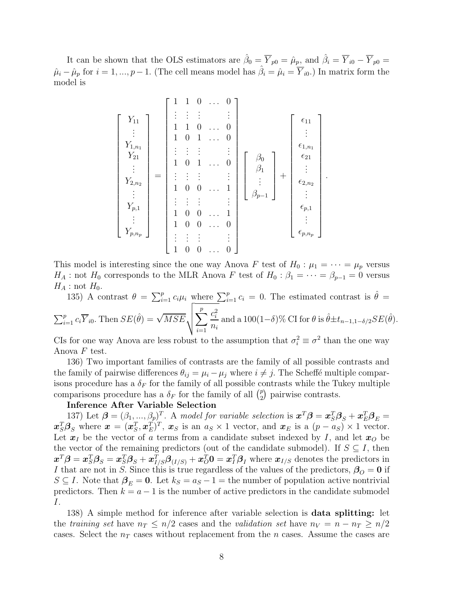It can be shown that the OLS estimators are  $\hat{\beta}_0 = \overline{Y}_{p0} = \hat{\mu}_{p}$ , and  $\hat{\beta}_i = \overline{Y}_{i0} - \overline{Y}_{p0} =$  $\hat{\mu}_i - \hat{\mu}_p$  for  $i = 1, ..., p-1$ . (The cell means model has  $\hat{\beta}_i = \hat{\mu}_i = \overline{Y}_{i0}$ .) In matrix form the model is

$$
\begin{bmatrix}\nY_{11} \\
\vdots \\
Y_{1,n_1} \\
Y_{21} \\
\vdots \\
Y_{2,n_2} \\
\vdots \\
Y_{p,1} \\
Y_{p,n_p}\n\end{bmatrix} = \begin{bmatrix}\n1 & 1 & 0 & \dots & 0 \\
\vdots & \vdots & \vdots & & \vdots \\
1 & 1 & 0 & 1 & \dots & 0 \\
\vdots & \vdots & \vdots & & \vdots \\
1 & 0 & 1 & \dots & 0 \\
\vdots & \vdots & \vdots & & \vdots \\
1 & 0 & 0 & \dots & 1 \\
1 & 0 & 0 & \dots & 1 \\
1 & 0 & 0 & \dots & 0 \\
\vdots & \vdots & \vdots & & \vdots \\
1 & 0 & 0 & \dots & 0 \\
\vdots & \vdots & \vdots & & \vdots \\
1 & 0 & 0 & \dots & 0\n\end{bmatrix} \begin{bmatrix}\n\beta_0 \\
\beta_1 \\
\vdots \\
\beta_{p-1}\n\end{bmatrix} + \begin{bmatrix}\n\epsilon_{11} \\
\epsilon_{12} \\
\vdots \\
\epsilon_{22} \\
\vdots \\
\epsilon_{p,1} \\
\vdots \\
\epsilon_{p,n_p}\n\end{bmatrix}
$$

.

This model is interesting since the one way Anova F test of  $H_0: \mu_1 = \cdots = \mu_p$  versus  $H_A$ : not  $H_0$  corresponds to the MLR Anova F test of  $H_0$ :  $\beta_1 = \cdots = \beta_{p-1} = 0$  versus  $H_A$ : not  $H_0$ .

135) A contrast  $\theta = \sum_{i=1}^p c_i \mu_i$  where  $\sum_{i=1}^p c_i = 0$ . The estimated contrast is  $\hat{\theta} =$  $\sum_{i=1}^{p} c_i \overline{Y}_{i0}$ . Then  $SE(\hat{\theta}) = \sqrt{MSE} \sqrt{\sum_{i=1}^{p} C_i \sum_{i=1}^{p} P_{i0} \sqrt{\sum_{i=1}^{p} P_{i0} \sqrt{\sum_{i=1}^{p} P_{i0} \sqrt{\sum_{i=1}^{p} P_{i0} \sqrt{\sum_{i=1}^{p} P_{i0} \sqrt{\sum_{i=1}^{p} P_{i0} \sqrt{\sum_{i=1}^{p} P_{i0} \sqrt{\sum_{i=1}^{p} P_{i0} \sqrt{\sum_{i=1}^{p} P_{i0} \sqrt{\sum_{i=1}^{p}$  $i=1$  $c_i^2$  $\frac{c_i^-}{n_i}$  and a 100(1– $\delta$ )% CI for  $\theta$  is  $\hat{\theta} \pm t_{n-1,1-\delta/2}SE(\hat{\theta})$ .

CIs for one way Anova are less robust to the assumption that  $\sigma_i^2 \equiv \sigma^2$  than the one way Anova  $F$  test.

136) Two important families of contrasts are the family of all possible contrasts and the family of pairwise differences  $\theta_{ij} = \mu_i - \mu_j$  where  $i \neq j$ . The Scheffé multiple comparisons procedure has a  $\delta_F$  for the family of all possible contrasts while the Tukey multiple comparisons procedure has a  $\delta_F$  for the family of all  $\binom{p}{2}$  $_{2}^{p}$ ) pairwise contrasts.

## Inference After Variable Selection

137) Let  $\boldsymbol{\beta} = (\beta_1, ..., \beta_p)^T$ . A model for variable selection is  $\boldsymbol{x}^T \boldsymbol{\beta} = \boldsymbol{x}_S^T \boldsymbol{\beta}_S + \boldsymbol{x}_E^T \boldsymbol{\beta}_E =$  $\boldsymbol{x}_{S}^{T}\boldsymbol{\beta}_{S}$  where  $\boldsymbol{x} = (\boldsymbol{x}_{S}^{T}, \boldsymbol{x}_{E}^{T})^{T}$ ,  $\boldsymbol{x}_{S}$  is an  $a_{S} \times 1$  vector, and  $\boldsymbol{x}_{E}$  is a  $(p - a_{S}) \times 1$  vector. Let  $x_I$  be the vector of a terms from a candidate subset indexed by I, and let  $x_O$  be the vector of the remaining predictors (out of the candidate submodel). If  $S \subseteq I$ , then  $x^T\bm{\beta} = \bm{x}_S^T\bm{\beta}_S = \bm{x}_S^T\bm{\beta}_S + \bm{x}_{I/S}^T\bm{\beta}_{(I/S)} + \bm{x}_O^T\bm{0} = \bm{x}_I^T\bm{\beta}_I$  where  $\bm{x}_{I/S}$  denotes the predictors in I that are not in S. Since this is true regardless of the values of the predictors,  $\beta_{\mathcal{O}} = 0$  if  $S \subseteq I$ . Note that  $\beta_E = 0$ . Let  $k_S = a_S - 1$  = the number of population active nontrivial predictors. Then  $k = a - 1$  is the number of active predictors in the candidate submodel I.

138) A simple method for inference after variable selection is data splitting: let the training set have  $n_T \leq n/2$  cases and the validation set have  $n_V = n - n_T \geq n/2$ cases. Select the  $n<sub>T</sub>$  cases without replacement from the n cases. Assume the cases are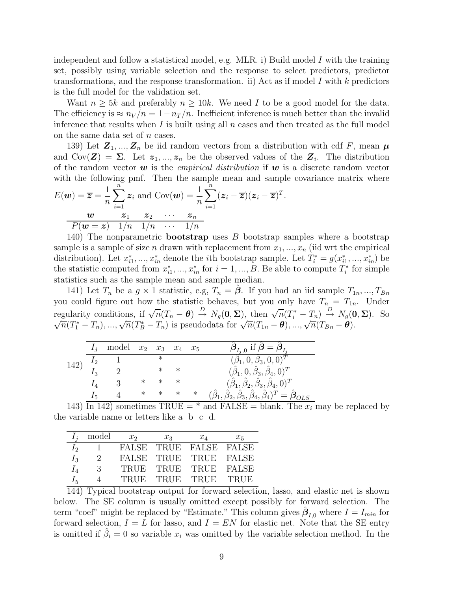independent and follow a statistical model, e.g. MLR. i) Build model I with the training set, possibly using variable selection and the response to select predictors, predictor transformations, and the response transformation. ii) Act as if model  $I$  with  $k$  predictors is the full model for the validation set.

Want  $n \geq 5k$  and preferably  $n \geq 10k$ . We need I to be a good model for the data. The efficiency is  $\approx n_V/n = 1-n_T/n$ . Inefficient inference is much better than the invalid inference that results when I is built using all  $n$  cases and then treated as the full model on the same data set of  $n$  cases.

139) Let  $\mathbf{Z}_1, ..., \mathbf{Z}_n$  be iid random vectors from a distribution with cdf F, mean  $\boldsymbol{\mu}$ and  $Cov(\mathbf{Z}) = \Sigma$ . Let  $z_1, ..., z_n$  be the observed values of the  $\mathbf{Z}_i$ . The distribution of the random vector  $w$  is the *empirical distribution* if  $w$  is a discrete random vector with the following pmf. Then the sample mean and sample covariance matrix where

$$
E(\boldsymbol{w}) = \overline{\boldsymbol{z}} = \frac{1}{n} \sum_{i=1}^{n} \boldsymbol{z}_i \text{ and } \text{Cov}(\boldsymbol{w}) = \frac{1}{n} \sum_{i=1}^{n} (\boldsymbol{z}_i - \overline{\boldsymbol{z}})(\boldsymbol{z}_i - \overline{\boldsymbol{z}})^T.
$$

$$
\frac{\boldsymbol{w}}{P(\boldsymbol{w} = \boldsymbol{z})} \frac{\boldsymbol{z}_1}{1/n} \frac{\boldsymbol{z}_2}{1/n} \cdots \frac{\boldsymbol{z}_n}{1/n}
$$

140) The nonparametric **bootstrap** uses  $B$  bootstrap samples where a bootstrap sample is a sample of size n drawn with replacement from  $x_1, ..., x_n$  (iid wrt the empirical distribution). Let  $x_i^*$ <sup>\*</sup><sub>i</sub>, ...,  $x_{in}^*$  denote the *i*<sup>th</sup> bootstrap sample. Let  $T_i^* = g(x_i^*)$  $x_{i1}^*,...,x_{in}^*$ ) be the statistic computed from  $x_i^*$  $i_1, \ldots, x_{in}^*$  for  $i = 1, \ldots, B$ . Be able to compute  $T_i^*$  $i^*$  for simple statistics such as the sample mean and sample median.

141) Let  $T_n$  be a  $g \times 1$  statistic, e.g,  $T_n = \hat{\boldsymbol{\beta}}$ . If you had an iid sample  $T_{1n},...,T_{Bn}$ you could figure out how the statistic behaves, but you only have  $T_n = T_{1n}$ . Under regularity conditions, if  $\sqrt{n}(T_n - \theta) \stackrel{D}{\rightarrow} N_g(\mathbf{0}, \Sigma)$ , then  $\sqrt{n}(T_i^* - T_n) \stackrel{D}{\rightarrow} N_g(\mathbf{0}, \Sigma)$ . So  $\sqrt{n}(T_1^* - T_n), \ldots, \sqrt{n}(T_B^* - T_n)$  is pseudodata for  $\sqrt{n}(T_{1n} - \theta), \ldots, \sqrt{n}(T_{Bn} - \theta)$ .

|      |    | model $x_2$ $x_3$ |        |   | $x_4$ $x_5$ |   | $\boldsymbol{\beta}_{I_i,0}$ if $\boldsymbol{\beta} = \boldsymbol{\beta}_{I_i}$                                  |
|------|----|-------------------|--------|---|-------------|---|------------------------------------------------------------------------------------------------------------------|
| 142) | 12 |                   |        | ∗ |             |   | $(\hat\beta_1, 0, \hat\beta_3, 0, 0)^T$                                                                          |
|      | 13 |                   |        |   | $\ast$      |   | $(\hat\beta_1,0,\hat\beta_3,\hat\beta_4,0)^T$                                                                    |
|      |    |                   | ∗      |   | ∗           |   | $(\hat\beta_1,\hat\beta_2,\hat\beta_3,\hat\beta_4,0)^T$                                                          |
|      |    |                   | $\ast$ | ∗ | ∗           | ∗ | $(\hat{\beta}_1, \hat{\beta}_2, \hat{\beta}_3, \hat{\beta}_4, \hat{\beta}_4)^T = \hat{\boldsymbol{\beta}}_{OLS}$ |
|      |    |                   |        |   |             |   |                                                                                                                  |

143) In 142) sometimes TRUE =  $*$  and FALSE = blank. The  $x_i$  may be replaced by the variable name or letters like a b c d.

|                   | model                | $x_2$       | $x_3$       | $x_4$       | $x_5$        |
|-------------------|----------------------|-------------|-------------|-------------|--------------|
| $\mathcal{L}_{2}$ |                      | FALSE       | TRUE FALSE  |             | FALSE        |
| $I_3$             | $\sum_{i=1}^{n} a_i$ | FALSE       | TRUE        | TRUE        | <b>FALSE</b> |
| $I_4$             | $\mathcal{B}$        | TRUE        | TRUE        | TRUE        | <b>FALSE</b> |
| $I_5$             |                      | <b>TRUE</b> | <b>TRUE</b> | <b>TRUE</b> | <b>TRUE</b>  |

144) Typical bootstrap output for forward selection, lasso, and elastic net is shown below. The SE column is usually omitted except possibly for forward selection. The term "coef" might be replaced by "Estimate." This column gives  $\hat{\boldsymbol{\beta}}_{I,0}$  where  $I = I_{min}$  for forward selection,  $I = L$  for lasso, and  $I = EN$  for elastic net. Note that the SE entry is omitted if  $\hat{\beta}_i = 0$  so variable  $x_i$  was omitted by the variable selection method. In the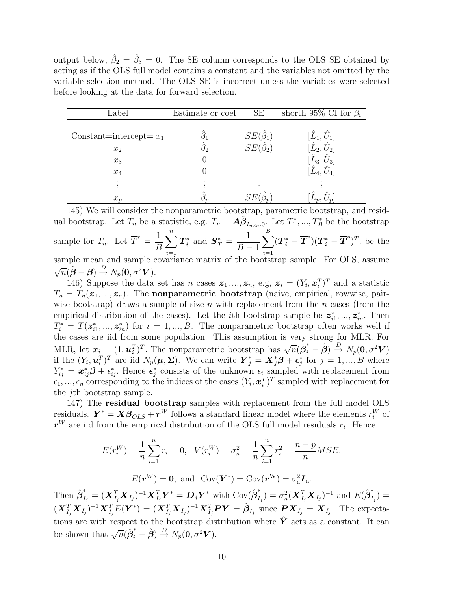output below,  $\hat{\beta}_2 = \hat{\beta}_3 = 0$ . The SE column corresponds to the OLS SE obtained by acting as if the OLS full model contains a constant and the variables not omitted by the variable selection method. The OLS SE is incorrect unless the variables were selected before looking at the data for forward selection.

| Label                     | Estimate or coef | SЕ                  | shorth 95% CI for $\beta_i$ |
|---------------------------|------------------|---------------------|-----------------------------|
| Constant=intercept= $x_1$ |                  | $SE(\hat{\beta}_1)$ | $[\hat{L}_1,\hat{U}_1]$     |
| $x_2$                     |                  | $SE(\hat{\beta}_2)$ | $[\hat{L}_2,\hat{U}_2]$     |
| $x_3$                     |                  |                     | $[\hat{L}_3,\hat{U}_3]$     |
| $x_4$                     |                  |                     | $[\hat{L}_4,\hat{U}_4]$     |
|                           |                  |                     |                             |
| $x_p$                     |                  |                     |                             |

145) We will consider the nonparametric bootstrap, parametric bootstrap, and residual bootstrap. Let  $T_n$  be a statistic, e.g.  $T_n = \mathbf{A}\hat{\boldsymbol{\beta}}_{I_{min},0}$ . Let  $T_1^*$  $T_1^*,...,T_B^*$  be the bootstrap sample for  $T_n$ . Let  $\overline{T}^* = \frac{1}{R_n}$ B  $\sum_{n=1}^{\infty}$  $i=1$  $\bm{T}_i^*$  $s_i^*$  and  $S_T^* = \frac{1}{R}$  $B-1$  $\sum^B$  $i=1$  $(\boldsymbol{T}_i^* - \overline{\boldsymbol{T}}^*)(\boldsymbol{T}_i^* - \overline{\boldsymbol{T}}^*)^T$  be the sample mean and sample covariance matrix of the bootstrap sample. For OLS, assume  $\sqrt{n}(\hat{\boldsymbol{\beta}} - \boldsymbol{\beta}) \stackrel{D}{\rightarrow} N_p(\boldsymbol{0}, \sigma^2 \boldsymbol{V}).$ 

146) Suppose the data set has *n* cases  $z_1, ..., z_n$ , e.g,  $z_i = (Y_i, x_i^T)^T$  and a statistic  $T_n = T_n(z_1, ..., z_n)$ . The nonparametric bootstrap (naive, empirical, rowwise, pairwise bootstrap) draws a sample of size  $n$  with replacement from the  $n$  cases (from the empirical distribution of the cases). Let the *i*th bootstrap sample be  $z_i^*$  $i_1, ..., \dot{z}_{in}$ . Then  $T_i^* = T(z_i^*)$  $i_1, ..., z_{in}^*$  for  $i = 1, ..., B$ . The nonparametric bootstrap often works well if the cases are iid from some population. This assumption is very strong for MLR. For MLR, let  $\mathbf{x}_i = (1, \mathbf{u}_i^T)^T$ . The nonparametric bootstrap has  $\sqrt{n}(\hat{\beta}_i^* - \hat{\beta}) \stackrel{D}{\rightarrow} N_p(\mathbf{0}, \sigma^2 V)$ if the  $(Y_i, \boldsymbol{u}_i^T)^T$  are iid  $N_p(\boldsymbol{\mu}, \boldsymbol{\Sigma})$ . We can write  $\boldsymbol{Y}_j^* = \boldsymbol{X}_j^* \boldsymbol{\beta} + \boldsymbol{\epsilon}_j^*$  $j \text{ for } j = 1, ..., B$  where  $Y_{ij}^* = \boldsymbol{x}_{ij}^* \boldsymbol{\beta} + \epsilon_{ij}^*$ . Hence  $\boldsymbol{\epsilon}_j^*$  $j$  consists of the unknown  $\epsilon_i$  sampled with replacement from  $\epsilon_1, ..., \epsilon_n$  corresponding to the indices of the cases  $(Y_i, \boldsymbol{x}_i^T)^T$  sampled with replacement for the jth bootstrap sample.

147) The residual bootstrap samples with replacement from the full model OLS residuals.  $\mathbf{Y}^* = \mathbf{X} \hat{\boldsymbol{\beta}}_{OLS} + \mathbf{r}^W$  follows a standard linear model where the elements  $r_i^W$  of  $r^{W}$  are iid from the empirical distribution of the OLS full model residuals  $r_{i}$ . Hence

$$
E(r_i^W) = \frac{1}{n} \sum_{i=1}^n r_i = 0, \quad V(r_i^W) = \sigma_n^2 = \frac{1}{n} \sum_{i=1}^n r_i^2 = \frac{n - p}{n} MSE,
$$

$$
E(\mathbf{r}^W) = \mathbf{0}, \text{ and } \text{Cov}(\mathbf{Y}^*) = \text{Cov}(\mathbf{r}^W) = \sigma_n^2 \mathbf{I}_n.
$$

Then  $\hat{\boldsymbol{\beta}}_{I_j}^* = (\boldsymbol{X}_{I_j}^T \boldsymbol{X}_{I_j})^{-1} \boldsymbol{X}_{I_j}^T \boldsymbol{Y}^* = \boldsymbol{D}_j \boldsymbol{Y}^*$  with  $\text{Cov}(\hat{\boldsymbol{\beta}}_{I_j}^*$  $\sigma_n^2(\bm{X}_{I_j}^T \bm{X}_{I_j})^{-1}$  and  $E(\hat{\bm{\beta}}_{I_j}^*$  $\binom{I_j}{I_j} =$  $(\boldsymbol{X}_{I_j}^T \boldsymbol{X}_{I_j})^{-1} \boldsymbol{X}_{I_j}^T E(\boldsymbol{Y}^*) = (\boldsymbol{X}_{I_j}^T \boldsymbol{X}_{I_j})^{-1} \boldsymbol{X}_{I_j}^T \boldsymbol{P} \boldsymbol{Y} = \hat{\boldsymbol{\beta}}_{I_j}$  since  $\boldsymbol{P} \boldsymbol{X}_{I_j} = \boldsymbol{X}_{I_j}$ . The expectations are with respect to the bootstrap distribution where  $\hat{Y}$  acts as a constant. It can be shown that  $\sqrt{n}(\hat{\boldsymbol{\beta}}_i^* - \hat{\boldsymbol{\beta}}) \stackrel{D}{\rightarrow} N_p(\mathbf{0}, \sigma^2 \mathbf{V}).$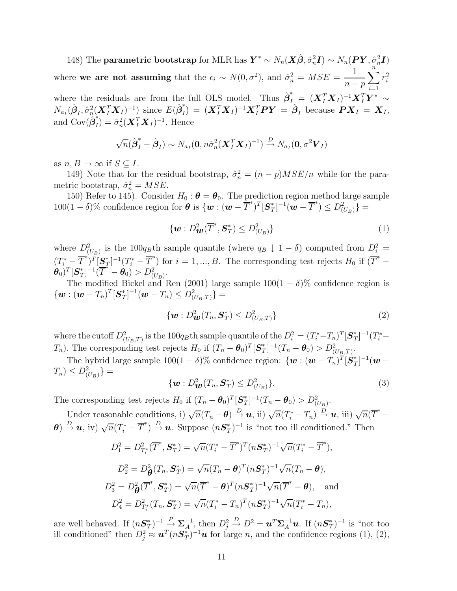148) The parametric bootstrap for MLR has  $\bm{Y}^* \sim N_n(\bm{X}\hat{\bm{\beta}}, \hat{\sigma}_n^2\bm{I}) \sim N_n(\bm{PY}, \hat{\sigma}_n^2\bm{I})$ where we are not assuming that the  $\epsilon_i \sim N(0, \sigma^2)$ , and  $\hat{\sigma}_n^2 = MSE =$ 1  $n-p$  $\sum_{n=1}^{\infty}$  $\frac{i=1}{i}$  $r_i^2$ where the residuals are from the full OLS model. Thus  $\hat{\boldsymbol{\beta}}_{I}^* = (\boldsymbol{X}_I^T \boldsymbol{X}_I)^{-1} \boldsymbol{X}_I^T \boldsymbol{Y}^* \sim$  $N_{a_I}(\hat{\boldsymbol{\beta}}_I, \hat{\sigma}_n^2(\boldsymbol{X}_I^T \boldsymbol{X}_I)^{-1})$  since  $E(\hat{\boldsymbol{\beta}}_I^*) = (\boldsymbol{X}_I^T \boldsymbol{X}_I)^{-1} \boldsymbol{X}_I^T \boldsymbol{P} \boldsymbol{Y} = \hat{\boldsymbol{\beta}}_I$  because  $\boldsymbol{P} \boldsymbol{X}_I = \boldsymbol{X}_I$ , and  $Cov(\hat{\boldsymbol{\beta}}_I^*) = \hat{\sigma}_n^2 (\boldsymbol{X}_I^T \boldsymbol{X}_I)^{-1}$ . Hence

$$
\sqrt{n}(\hat{\boldsymbol{\beta}}_I^* - \hat{\boldsymbol{\beta}}_I) \sim N_{a_I}(\mathbf{0}, n\hat{\sigma}_n^2(\boldsymbol{X}_I^T\boldsymbol{X}_I)^{-1}) \stackrel{D}{\rightarrow} N_{a_I}(\mathbf{0}, \sigma^2\boldsymbol{V}_I)
$$

as  $n, B \to \infty$  if  $S \subseteq I$ .

149) Note that for the residual bootstrap,  $\hat{\sigma}_n^2 = (n - p)MSE/n$  while for the parametric bootstrap,  $\hat{\sigma}_n^2 = MSE$ .

150) Refer to 145). Consider  $H_0: \theta = \theta_0$ . The prediction region method large sample 100(1 – δ)% confidence region for  $\theta$  is  $\{\boldsymbol{w} : (\boldsymbol{w} - \overline{T}^*)^T [\mathbf{S}_T^*]$  $T_{T}^{*}$ ]<sup>-1</sup>(**w** -  $\overline{T}^{*}$ )  $\leq D_{(U_{B})}^{2}$ } =

$$
\{\boldsymbol{w}: D^2_{\boldsymbol{w}}(\overline{T}^*, \boldsymbol{S}_T^*) \le D^2_{(U_B)}\}\tag{1}
$$

where  $D^2_{(U_B)}$  is the 100q<sub>B</sub>th sample quantile (where  $q_B \downarrow 1-\delta$ ) computed from  $D_i^2 =$  $(T_i^* - \overline{T}^*)^T[\mathbf{S}_T^*$  $\left(T_i^* - \overline{T}^*\right)$  for  $i = 1, ..., B$ . The corresponding test rejects  $H_0$  if  $(\overline{T}^*)$ −  $\overset{\,\,{}_\circ}{\bm{\theta}}_{0})^{T}[\bm{S}_{T}^{*}% (\theta)]^{T}$  $T_{T}^{*}$ ]<sup>-1</sup> $(T^{*} - \theta_{0}) > D_{(U_{B})}^{2}$ .

The modified Bickel and Ren (2001) large sample  $100(1 - \delta)$ % confidence region is  $\{\boldsymbol{w}:(\boldsymbol{w}-T_n)^T[\boldsymbol{S}_T^*$  $[T]^{-1}(\boldsymbol{w} - T_n) \leq D_{(U_B,T)}^2 =$ 

$$
\{\boldsymbol{w}: D^2_{\boldsymbol{w}}(T_n, \boldsymbol{S}^*_T) \le D^2_{(U_B, T)}\}\tag{2}
$$

where the cutoff  $D^2_{(U_B,T)}$  is the  $100q_B$ th sample quantile of the  $D_i^2 = (T_i^* - T_n)^T [\mathbf{S}_T^*]$  $T^{*}_{T}$ ]<sup>-1</sup>( $T^{*}_{i}$ - $T_n$ ). The corresponding test rejects  $H_0$  if  $(T_n - \theta_0)^T [\mathbf{S}_T^*]$  $T^{*}_{T}$ ]<sup>-1</sup> $(T_n - \theta_0) > D^2_{(U_B,T)}.$ 

The hybrid large sample  $100(1 - \delta)$ % confidence region:  $\{\boldsymbol{w} : (\boldsymbol{w} - T_n)^T[\boldsymbol{S}_T^*]$  $\int_T^{*\,\,]-1} (\boldsymbol{w} T_n) \leq D^2_{(U_B)}$ } =

$$
\{\boldsymbol{w}: D^2_{\boldsymbol{w}}(T_n, \boldsymbol{S}_T^*) \le D^2_{(U_B)}\}.
$$
\n(3)

The corresponding test rejects  $H_0$  if  $(T_n - \theta_0)^T [\mathbf{S}_T^*]$  $T^{*}_{T}$ ]<sup>-1</sup> $(T_n - \theta_0) > D_{(U_B)}^2$ .

Under reasonable conditions, i)  $\sqrt{n}(T_n - \theta) \stackrel{D}{\rightarrow} u$ , ii)  $\sqrt{n}(T_i^* - T_n) \stackrel{D}{\rightarrow} u$ , iii)  $\sqrt{n}(\overline{T}^*$ −  $\theta$ )  $\stackrel{D}{\rightarrow}$  **u**, iv)  $\sqrt{n}(T_i^* - \overline{T}^*)$   $\stackrel{D}{\rightarrow}$  **u**. Suppose  $(nS_T^*)$  $(T<sup>*</sup>)<sup>-1</sup>$  is "not too ill conditioned." Then

$$
D_1^2 = D_{T_i^*}^2(\overline{T}^*, \mathbf{S}_T^*) = \sqrt{n}(T_i^* - \overline{T}^*)^T(n\mathbf{S}_T^*)^{-1}\sqrt{n}(T_i^* - \overline{T}^*),
$$
  
\n
$$
D_2^2 = D_{\theta}^2(T_n, \mathbf{S}_T^*) = \sqrt{n}(T_n - \theta)^T(n\mathbf{S}_T^*)^{-1}\sqrt{n}(T_n - \theta),
$$
  
\n
$$
D_3^2 = D_{\theta}^2(\overline{T}^*, \mathbf{S}_T^*) = \sqrt{n}(\overline{T}^* - \theta)^T(n\mathbf{S}_T^*)^{-1}\sqrt{n}(\overline{T}^* - \theta),
$$
 and  
\n
$$
D_4^2 = D_{T_i^*}^2(T_n, \mathbf{S}_T^*) = \sqrt{n}(T_i^* - T_n)^T(n\mathbf{S}_T^*)^{-1}\sqrt{n}(T_i^* - T_n),
$$

are well behaved. If  $(nS_7^*)$  $(T(T))^{-1} \stackrel{P}{\longrightarrow} \Sigma_A^{-1}$ , then  $D_j^2 \stackrel{D}{\longrightarrow} D^2 = \boldsymbol{u}^T \Sigma_A^{-1} \boldsymbol{u}$ . If  $(n\mathbf{S}_T^*)$  $(T^{*})^{-1}$  is "not too ill conditioned" then  $D_j^2 \approx \boldsymbol{u}^T(n\boldsymbol{S}_T^*)$  $T(T)$ <sup>+</sup> $\mathbf{u}$  for large *n*, and the confidence regions (1), (2),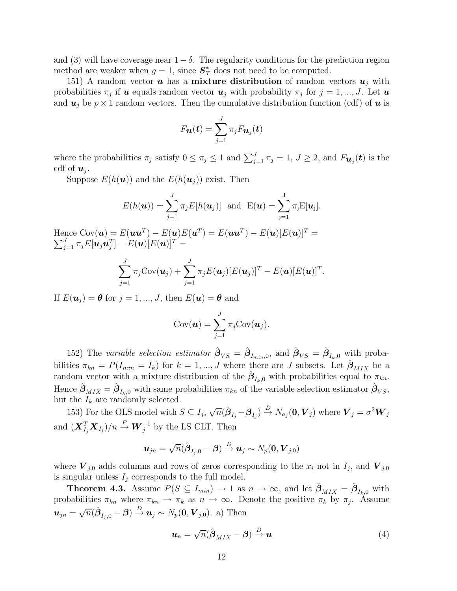and (3) will have coverage near  $1-\delta$ . The regularity conditions for the prediction region method are weaker when  $g = 1$ , since  $S_T^*$  does not need to be computed.

151) A random vector **u** has a **mixture distribution** of random vectors  $u_j$  with probabilities  $\pi_j$  if **u** equals random vector  $u_j$  with probability  $\pi_j$  for  $j = 1, ..., J$ . Let **u** and  $u_i$  be  $p \times 1$  random vectors. Then the cumulative distribution function (cdf) of u is

$$
F_{\boldsymbol{\mathcal{u}}}(\boldsymbol{t})=\sum_{j=1}^J\pi_jF_{\boldsymbol{\mathcal{u}}_j}(\boldsymbol{t})
$$

where the probabilities  $\pi_j$  satisfy  $0 \le \pi_j \le 1$  and  $\sum_{j=1}^J \pi_j = 1$ ,  $J \ge 2$ , and  $F_{\mathbf{u}_j}(\mathbf{t})$  is the cdf of  $u_i$ .

Suppose  $E(h(\boldsymbol{u}))$  and the  $E(h(\boldsymbol{u}_i))$  exist. Then

$$
E(h(\boldsymbol{u})) = \sum_{j=1}^{J} \pi_j E[h(\boldsymbol{u}_j)] \text{ and } E(\boldsymbol{u}) = \sum_{j=1}^{J} \pi_j E[\boldsymbol{u}_j].
$$

Hence  $Cov(\boldsymbol{u}) = E(\boldsymbol{u}\boldsymbol{u}^T) - E(\boldsymbol{u})E(\boldsymbol{u}^T) = E(\boldsymbol{u}\boldsymbol{u}^T) - E(\boldsymbol{u})[E(\boldsymbol{u})]^T =$  $\sum_{j=1}^J \pi_j E[\boldsymbol{u}_j \boldsymbol{u}_j^T] - E(\boldsymbol{u}) [E(\boldsymbol{u})]^T =$ 

$$
\sum_{j=1}^J \pi_j \text{Cov}(\boldsymbol{u}_j) + \sum_{j=1}^J \pi_j E(\boldsymbol{u}_j) [E(\boldsymbol{u}_j)]^T - E(\boldsymbol{u}) [E(\boldsymbol{u})]^T.
$$

If  $E(\mathbf{u}_j) = \boldsymbol{\theta}$  for  $j = 1, ..., J$ , then  $E(\mathbf{u}) = \boldsymbol{\theta}$  and

$$
Cov(\boldsymbol{u}) = \sum_{j=1}^J \pi_j Cov(\boldsymbol{u}_j).
$$

152) The variable selection estimator  $\hat{\beta}_{VS} = \hat{\beta}_{I_{min},0}$ , and  $\hat{\beta}_{VS} = \hat{\beta}_{I_k,0}$  with probabilities  $\pi_{kn} = P(I_{min} = I_k)$  for  $k = 1, ..., J$  where there are J subsets. Let  $\hat{\beta}_{MIX}$  be a random vector with a mixture distribution of the  $\hat{\beta}_{I_k,0}$  with probabilities equal to  $\pi_{kn}$ . Hence  $\hat{\boldsymbol{\beta}}_{MIX} = \hat{\boldsymbol{\beta}}_{I_k,0}$  with same probabilities  $\pi_{kn}$  of the variable selection estimator  $\hat{\boldsymbol{\beta}}_{VS}$ , but the  $I_k$  are randomly selected.

153) For the OLS model with  $S \subseteq I_j$ ,  $\sqrt{n}(\hat{\beta}_{I_j} - \beta_{I_j}) \stackrel{D}{\rightarrow} N_{a_j}(\mathbf{0}, \mathbf{V}_j)$  where  $\mathbf{V}_j = \sigma^2 \mathbf{W}_j$ and  $(\boldsymbol{X}_{I_j}^T \boldsymbol{X}_{I_j})/n \overset{P}{\to} \boldsymbol{W}_j^{-1}$  by the LS CLT. Then

$$
\boldsymbol{u}_{jn}=\sqrt{n}(\hat{\boldsymbol{\beta}}_{I_j,0}-\boldsymbol{\beta})\overset{D}{\to}\boldsymbol{u}_j\sim N_p(\boldsymbol{0},\boldsymbol{V}_{j,0})
$$

where  $V_{j,0}$  adds columns and rows of zeros corresponding to the  $x_i$  not in  $I_j$ , and  $V_{j,0}$ is singular unless  ${\cal I}_j$  corresponds to the full model.

**Theorem 4.3.** Assume  $P(S \subseteq I_{min}) \to 1$  as  $n \to \infty$ , and let  $\hat{\boldsymbol{\beta}}_{MIX} = \hat{\boldsymbol{\beta}}_{I_k,0}$  with probabilities  $\pi_{kn}$  where  $\pi_{kn} \to \pi_k$  as  $n \to \infty$ . Denote the positive  $\pi_k$  by  $\pi_j$ . Assume  $u_{jn} = \sqrt{n}(\hat{\boldsymbol{\beta}}_{I_j,0} - \boldsymbol{\beta}) \stackrel{D}{\rightarrow} u_j \sim N_p(\mathbf{0},\boldsymbol{V}_{j,0})$ . a) Then

$$
\boldsymbol{u}_n = \sqrt{n}(\hat{\boldsymbol{\beta}}_{MIX} - \boldsymbol{\beta}) \stackrel{D}{\rightarrow} \boldsymbol{u}
$$
 (4)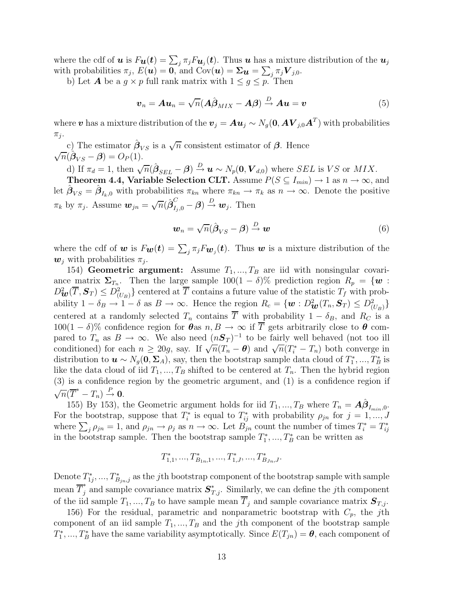where the cdf of  $u$  is  $F_{\bm{u}}(\bm{t}) = \sum_j \pi_j F_{\bm{u}_j}(\bm{t})$ . Thus  $\bm{u}$  has a mixture distribution of the  $\bm{u}_j$ with probabilities  $\pi_j$ ,  $E(\mathbf{u}) = \mathbf{0}$ , and  $Cov(\mathbf{u}) = \mathbf{\Sigma}_{\mathbf{u}} = \sum_j \pi_j \mathbf{V}_{j,0}$ .

b) Let **A** be a  $g \times p$  full rank matrix with  $1 \leq g \leq p$ . Then

$$
\boldsymbol{v}_n = \boldsymbol{A}\boldsymbol{u}_n = \sqrt{n}(\boldsymbol{A}\hat{\boldsymbol{\beta}}_{MIX} - \boldsymbol{A}\boldsymbol{\beta}) \stackrel{D}{\rightarrow} \boldsymbol{A}\boldsymbol{u} = \boldsymbol{v}
$$
(5)

where  $\bm{v}$  has a mixture distribution of the  $\bm{v}_j = \bm{A} \bm{u}_j \sim N_g(\bm{0}, \bm{A} \bm{V}_{j,0} \bm{A}^T)$  with probabilities  $\pi_j$ .

c) The estimator  $\hat{\beta}_{VS}$  is a  $\sqrt{n}$  consistent estimator of  $\beta$ . Hence  $\sqrt{n}(\hat{\boldsymbol{\beta}}_{VS} - \boldsymbol{\beta}) = O_P(1).$ 

d) If  $\pi_d = 1$ , then  $\sqrt{n}(\hat{\beta}_{SEL} - \beta) \stackrel{D}{\rightarrow} u \sim N_p(0, V_{d,0})$  where SEL is VS or MIX.

**Theorem 4.4, Variable Selection CLT.** Assume  $P(S \subseteq I_{min}) \to 1$  as  $n \to \infty$ , and let  $\hat{\boldsymbol{\beta}}_{VS} = \hat{\boldsymbol{\beta}}_{I_k,0}$  with probabilities  $\pi_{kn}$  where  $\pi_{kn} \to \pi_k$  as  $n \to \infty$ . Denote the positive  $\pi_k$  by  $\pi_j$ . Assume  $\mathbf{w}_{jn} = \sqrt{n}(\hat{\boldsymbol{\beta}}_{I_j,0}^C - \boldsymbol{\beta}) \overset{D}{\rightarrow} \mathbf{w}_j$ . Then

$$
\mathbf{w}_n = \sqrt{n}(\hat{\boldsymbol{\beta}}_{VS} - \boldsymbol{\beta}) \stackrel{D}{\rightarrow} \mathbf{w}
$$
 (6)

where the cdf of w is  $F_{w}(t) = \sum_{j} \pi_{j} F_{w_{j}}(t)$ . Thus w is a mixture distribution of the  $\boldsymbol{w}_i$  with probabilities  $\pi_i$ .

154) Geometric argument: Assume  $T_1, ..., T_B$  are iid with nonsingular covariance matrix  $\Sigma_{T_n}$ . Then the large sample 100(1 – δ)% prediction region  $R_p = \{w :$  $D^2_{\mathbf{w}}(\overline{T}, \mathbf{S}_T) \leq D^2_{(U_B)}\}$  centered at  $\overline{T}$  contains a future value of the statistic  $T_f$  with probability  $1 - \delta_B \to 1 - \delta$  as  $B \to \infty$ . Hence the region  $R_c = \{ \boldsymbol{w} : D^2_{\boldsymbol{w}}(T_n, \boldsymbol{S}_T) \leq D^2_{(U_B)} \}$ centered at a randomly selected  $T_n$  contains  $\overline{T}$  with probability  $1 - \delta_B$ , and  $R_C$  is a 100(1 – δ)% confidence region for  $\theta$ as  $n, B \to \infty$  if  $\overline{T}$  gets arbitrarily close to  $\theta$  compared to  $T_n$  as  $B \to \infty$ . We also need  $(nS_T)^{-1}$  to be fairly well behaved (not too ill conditioned) for each  $n \geq 20g$ , say. If  $\sqrt{n}(T_n - \theta)$  and  $\sqrt{n}(T_i^* - T_n)$  both converge in distribution to  $u \sim N_g(0, \Sigma_A)$ , say, then the bootstrap sample data cloud of  $T_1^*$  $I_1^*,..., T_B^*$  is like the data cloud of iid  $T_1, ..., T_B$  shifted to be centered at  $T_n$ . Then the hybrid region (3) is a confidence region by the geometric argument, and (1) is a confidence region if  $\sqrt{n}(\overline{T}^* - T_n) \stackrel{P}{\rightarrow} 0.$ 

155) By 153), the Geometric argument holds for iid  $T_1, ..., T_B$  where  $T_n = \hat{A}\hat{\beta}_{I_{min},0}$ . For the bootstrap, suppose that  $T_i^*$ <sup>\*</sup>is equal to  $T_{ij}^*$  with probability  $\rho_{jn}$  for  $j = 1, ..., J$ where  $\sum_{j} \rho_{jn} = 1$ , and  $\rho_{jn} \to \rho_j$  as  $n \to \infty$ . Let  $B_{jn}$  count the number of times  $T_i^* = T_{ij}^*$ ij in the bootstrap sample. Then the bootstrap sample  $T_1^*$  $T_1^*,...,T_B^*$  can be written as

$$
T_{1,1}^*,...,T_{B_{1n},1}^*,...,T_{1,J}^*,...,T_{B_{Jn},J}^*.
$$

Denote  $T^*_{1}$  $T_{1j}^*,...,T_{B_{jn},j}^*$  as the jth bootstrap component of the bootstrap sample with sample mean  $\overline{T}_j^*$  and sample covariance matrix  $S_{T,j}^*$ . Similarly, we can define the jth component of the iid sample  $T_1, ..., T_B$  to have sample mean  $\overline{T}_j$  and sample covariance matrix  $S_{T,j}$ .

156) For the residual, parametric and nonparametric bootstrap with  $C_p$ , the jth component of an iid sample  $T_1, ..., T_B$  and the jth component of the bootstrap sample  $T_1^*$ <sup>1</sup><sup>\*</sup>, ...,  $T_B^*$  have the same variability asymptotically. Since  $E(T_{jn}) = \theta$ , each component of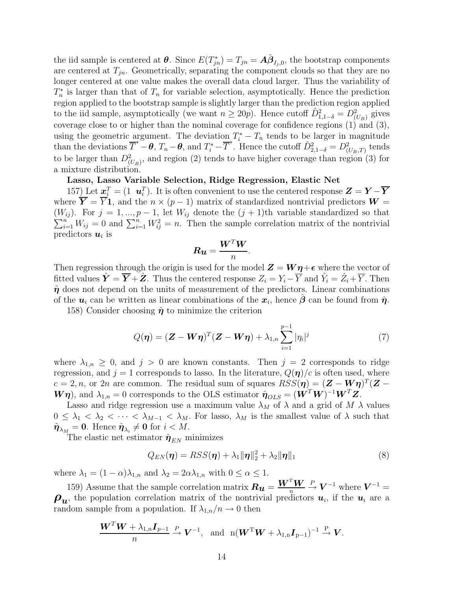the iid sample is centered at  $\theta$ . Since  $E(T^*_{jn}) = T_{jn} = A\hat{\beta}_{I_j,0}$ , the bootstrap components are centered at  $T_{in}$ . Geometrically, separating the component clouds so that they are no longer centered at one value makes the overall data cloud larger. Thus the variability of  $T_n^*$  $n_{n}^{*}$  is larger than that of  $T_{n}$  for variable selection, asymptotically. Hence the prediction region applied to the bootstrap sample is slightly larger than the prediction region applied to the iid sample, asymptotically (we want  $n \ge 20p$ ). Hence cutoff  $\hat{D}_{1,1-\delta}^2 = D_{(U_B)}^2$  gives coverage close to or higher than the nominal coverage for confidence regions (1) and (3), using the geometric argument. The deviation  $T_i^* - T_n$  tends to be larger in magnitude than the deviations  $\overline{T}^* - \theta$ ,  $T_n - \theta$ , and  $T_i^* - \overline{T}^*$ . Hence the cutoff  $\hat{D}_{2,1-\delta}^2 = D_{(U_B,T)}^2$  tends to be larger than  $D^2_{(U_B)}$ , and region (2) tends to have higher coverage than region (3) for a mixture distribution.

## Lasso, Lasso Variable Selection, Ridge Regression, Elastic Net

157) Let  $\mathbf{x}_i^T = (1 \ \mathbf{u}_i^T)$ . It is often convenient to use the centered response  $\mathbf{Z} = \mathbf{Y} - \overline{\mathbf{Y}}$ where  $\overline{Y} = \overline{Y}1$ , and the  $n \times (p-1)$  matrix of standardized nontrivial predictors  $W =$  $\sum_{i=1}^{n} W_{ij} = 0$  and  $\sum_{i=1}^{n} W_{ij}^2 = n$ . Then the sample correlation matrix of the nontrivial  $(W_{ij})$ . For  $j = 1, ..., p-1$ , let  $W_{ij}$  denote the  $(j + 1)$ th variable standardized so that predictors  $u_i$  is

$$
\boldsymbol{R} \boldsymbol{u} = \frac{\boldsymbol{W}^T \boldsymbol{W}}{n}
$$

.

Then regression through the origin is used for the model  $\mathbf{Z} = \mathbf{W}\boldsymbol{\eta} + \boldsymbol{\epsilon}$  where the vector of fitted values  $\hat{\boldsymbol{Y}} = \overline{\boldsymbol{Y}} + \hat{\boldsymbol{Z}}$ . Thus the centered response  $Z_i = Y_i - \overline{Y}$  and  $\hat{Y}_i = \hat{Z}_i + \overline{Y}$ . Then  $\hat{\eta}$  does not depend on the units of measurement of the predictors. Linear combinations of the  $u_i$  can be written as linear combinations of the  $x_i$ , hence  $\hat{\beta}$  can be found from  $\hat{\eta}$ .

158) Consider choosing  $\hat{\eta}$  to minimize the criterion

$$
Q(\boldsymbol{\eta}) = (\boldsymbol{Z} - \boldsymbol{W}\boldsymbol{\eta})^T (\boldsymbol{Z} - \boldsymbol{W}\boldsymbol{\eta}) + \lambda_{1,n} \sum_{i=1}^{p-1} |\eta_i|^j
$$
(7)

where  $\lambda_{1,n} \geq 0$ , and  $j > 0$  are known constants. Then  $j = 2$  corresponds to ridge regression, and  $j = 1$  corresponds to lasso. In the literature,  $Q(\eta)/c$  is often used, where  $c = 2, n$ , or 2n are common. The residual sum of squares  $RSS(\boldsymbol{\eta}) = (\boldsymbol{Z} - \boldsymbol{W}\boldsymbol{\eta})^T(\boldsymbol{Z} - \boldsymbol{\eta})$  $(\mathbf{W}\boldsymbol{\eta})$ , and  $\lambda_{1,n} = 0$  corresponds to the OLS estimator  $\hat{\boldsymbol{\eta}}_{OLS} = (\mathbf{W}^T\mathbf{W})^{-1}\mathbf{W}^T\mathbf{Z}$ .

Lasso and ridge regression use a maximum value  $\lambda_M$  of  $\lambda$  and a grid of  $M$   $\lambda$  values  $0 \leq \lambda_1 < \lambda_2 < \cdots < \lambda_{M-1} < \lambda_M$ . For lasso,  $\lambda_M$  is the smallest value of  $\lambda$  such that  $\hat{\boldsymbol{\eta}}_{\lambda_M} = \boldsymbol{0}.$  Hence  $\hat{\boldsymbol{\eta}}_{\lambda_i} \neq \boldsymbol{0}$  for  $i < M$ .

The elastic net estimator  $\hat{\eta}_{EN}$  minimizes

$$
Q_{EN}(\boldsymbol{\eta}) = RSS(\boldsymbol{\eta}) + \lambda_1 \|\boldsymbol{\eta}\|_2^2 + \lambda_2 \|\boldsymbol{\eta}\|_1
$$
\n(8)

where  $\lambda_1 = (1 - \alpha)\lambda_{1,n}$  and  $\lambda_2 = 2\alpha\lambda_{1,n}$  with  $0 \leq \alpha \leq 1$ .

159) Assume that the sample correlation matrix  $\boldsymbol{R}_{\boldsymbol{u}} = \frac{\boldsymbol{W}^T \boldsymbol{W}}{n} \stackrel{P}{\to} \boldsymbol{V}^{-1}$  where  $\boldsymbol{V}^{-1} =$  $\rho_u$ , the population correlation matrix of the nontrivial predictors  $u_i$ , if the  $u_i$  are a random sample from a population. If  $\lambda_{1,n}/n \to 0$  then

$$
\frac{\boldsymbol{W}^T\boldsymbol{W} + \lambda_{1,n}\boldsymbol{I}_{p-1}}{n} \stackrel{P}{\to} \boldsymbol{V}^{-1}, \text{ and } n(\boldsymbol{W}^T\boldsymbol{W} + \lambda_{1,n}\boldsymbol{I}_{p-1})^{-1} \stackrel{P}{\to} \boldsymbol{V}.
$$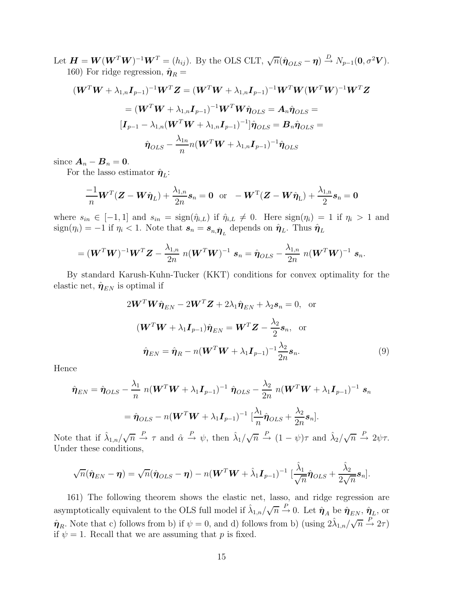Let  $\boldsymbol{H} = \boldsymbol{W}(\boldsymbol{W}^T\boldsymbol{W})^{-1}\boldsymbol{W}^T = (h_{ij})$ . By the OLS CLT,  $\sqrt{n}(\hat{\boldsymbol{\eta}}_{OLS} - \boldsymbol{\eta}) \overset{D}{\rightarrow} N_{p-1}(\boldsymbol{0}, \sigma^2\boldsymbol{V})$ . 160) For ridge regression,  $\hat{\pmb{\eta}}_R =$ 

$$
(\boldsymbol{W}^T \boldsymbol{W} + \lambda_{1,n} \boldsymbol{I}_{p-1})^{-1} \boldsymbol{W}^T \boldsymbol{Z} = (\boldsymbol{W}^T \boldsymbol{W} + \lambda_{1,n} \boldsymbol{I}_{p-1})^{-1} \boldsymbol{W}^T \boldsymbol{W} (\boldsymbol{W}^T \boldsymbol{W})^{-1} \boldsymbol{W}^T \boldsymbol{Z}
$$
  
\n
$$
= (\boldsymbol{W}^T \boldsymbol{W} + \lambda_{1,n} \boldsymbol{I}_{p-1})^{-1} \boldsymbol{W}^T \boldsymbol{W} \hat{\boldsymbol{\eta}}_{OLS} = \boldsymbol{A}_n \hat{\boldsymbol{\eta}}_{OLS} =
$$
  
\n
$$
[\boldsymbol{I}_{p-1} - \lambda_{1,n} (\boldsymbol{W}^T \boldsymbol{W} + \lambda_{1,n} \boldsymbol{I}_{p-1})^{-1}] \hat{\boldsymbol{\eta}}_{OLS} = \boldsymbol{B}_n \hat{\boldsymbol{\eta}}_{OLS} =
$$
  
\n
$$
\hat{\boldsymbol{\eta}}_{OLS} - \frac{\lambda_{1n}}{n} n (\boldsymbol{W}^T \boldsymbol{W} + \lambda_{1,n} \boldsymbol{I}_{p-1})^{-1} \hat{\boldsymbol{\eta}}_{OLS}
$$

since  $A_n - B_n = 0$ .

For the lasso estimator  $\hat{\eta}_L$ :

$$
\frac{-1}{n}\boldsymbol{W}^T(\boldsymbol{Z}-\boldsymbol{W}\hat{\boldsymbol{\eta}}_L)+\frac{\lambda_{1,n}}{2n}\boldsymbol{s}_n=\boldsymbol{0} \ \ \text{or} \ \ -\boldsymbol{W}^T(\boldsymbol{Z}-\boldsymbol{W}\hat{\boldsymbol{\eta}}_L)+\frac{\lambda_{1,n}}{2}\boldsymbol{s}_n=\boldsymbol{0}
$$

where  $s_{in} \in [-1,1]$  and  $s_{in} = \text{sign}(\hat{\eta}_{i,L})$  if  $\hat{\eta}_{i,L} \neq 0$ . Here  $\text{sign}(\eta_i) = 1$  if  $\eta_i > 1$  and  $sign(\eta_i) = -1$  if  $\eta_i < 1$ . Note that  $s_n = s_{n,\hat{\boldsymbol{\eta}}_L}$  depends on  $\hat{\boldsymbol{\eta}}_L$ . Thus  $\hat{\boldsymbol{\eta}}_L$ 

$$
= (\mathbf{W}^T \mathbf{W})^{-1} \mathbf{W}^T \mathbf{Z} - \frac{\lambda_{1,n}}{2n} n(\mathbf{W}^T \mathbf{W})^{-1} \mathbf{s}_n = \hat{\boldsymbol{\eta}}_{OLS} - \frac{\lambda_{1,n}}{2n} n(\mathbf{W}^T \mathbf{W})^{-1} \mathbf{s}_n.
$$

By standard Karush-Kuhn-Tucker (KKT) conditions for convex optimality for the elastic net,  $\hat{\eta}_{EN}$  is optimal if

$$
2\mathbf{W}^T \mathbf{W} \hat{\boldsymbol{\eta}}_{EN} - 2\mathbf{W}^T \mathbf{Z} + 2\lambda_1 \hat{\boldsymbol{\eta}}_{EN} + \lambda_2 \mathbf{s}_n = 0, \text{ or}
$$

$$
(\mathbf{W}^T \mathbf{W} + \lambda_1 \mathbf{I}_{p-1}) \hat{\boldsymbol{\eta}}_{EN} = \mathbf{W}^T \mathbf{Z} - \frac{\lambda_2}{2} \mathbf{s}_n, \text{ or}
$$

$$
\hat{\boldsymbol{\eta}}_{EN} = \hat{\boldsymbol{\eta}}_R - n(\mathbf{W}^T \mathbf{W} + \lambda_1 \mathbf{I}_{p-1})^{-1} \frac{\lambda_2}{2n} \mathbf{s}_n.
$$
(9)

Hence

$$
\hat{\boldsymbol{\eta}}_{EN} = \hat{\boldsymbol{\eta}}_{OLS} - \frac{\lambda_1}{n} n(\boldsymbol{W}^T \boldsymbol{W} + \lambda_1 \boldsymbol{I}_{p-1})^{-1} \hat{\boldsymbol{\eta}}_{OLS} - \frac{\lambda_2}{2n} n(\boldsymbol{W}^T \boldsymbol{W} + \lambda_1 \boldsymbol{I}_{p-1})^{-1} \boldsymbol{s}_n
$$

$$
= \hat{\boldsymbol{\eta}}_{OLS} - n(\boldsymbol{W}^T \boldsymbol{W} + \lambda_1 \boldsymbol{I}_{p-1})^{-1} \left[ \frac{\lambda_1}{n} \hat{\boldsymbol{\eta}}_{OLS} + \frac{\lambda_2}{2n} \boldsymbol{s}_n \right].
$$

Note that if  $\hat{\lambda}_{1,n}/\sqrt{n} \stackrel{P}{\rightarrow} \tau$  and  $\hat{\alpha} \stackrel{P}{\rightarrow} \psi$ , then  $\hat{\lambda}_1/\sqrt{n} \stackrel{P}{\rightarrow} (1-\psi)\tau$  and  $\hat{\lambda}_2/\sqrt{n} \stackrel{P}{\rightarrow} 2\psi\tau$ . Under these conditions,

$$
\sqrt{n}(\hat{\boldsymbol{\eta}}_{EN}-\boldsymbol{\eta})=\sqrt{n}(\hat{\boldsymbol{\eta}}_{OLS}-\boldsymbol{\eta})-n(\boldsymbol{W}^T\boldsymbol{W}+\hat{\lambda}_1\boldsymbol{I}_{p-1})^{-1}\ [\frac{\hat{\lambda}_1}{\sqrt{n}}\hat{\boldsymbol{\eta}}_{OLS}+\frac{\hat{\lambda}_2}{2\sqrt{n}}\boldsymbol{s}_n].
$$

161) The following theorem shows the elastic net, lasso, and ridge regression are asymptotically equivalent to the OLS full model if  $\hat{\lambda}_{1,n}/\sqrt{n} \stackrel{P}{\to} 0$ . Let  $\hat{\pmb{\eta}}_A$  be  $\hat{\pmb{\eta}}_{EN}, \hat{\pmb{\eta}}_L$ , or  $\hat{\eta}_R$ . Note that c) follows from b) if  $\psi = 0$ , and d) follows from b) (using  $2\hat{\lambda}_{1,n}/\sqrt{n} \stackrel{P}{\rightarrow} 2\tau$ ) if  $\psi = 1$ . Recall that we are assuming that p is fixed.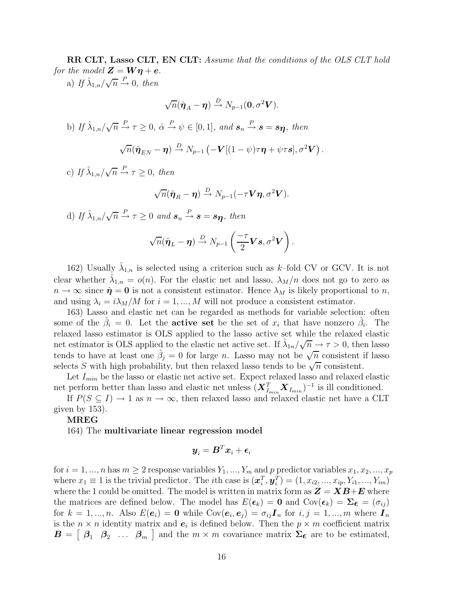RR CLT, Lasso CLT, EN CLT: Assume that the conditions of the OLS CLT hold for the model  $\mathbf{Z} = \mathbf{W}\boldsymbol{\eta} + \boldsymbol{e}$ .

a) If  $\hat{\lambda}_{1,n}/\sqrt{n} \stackrel{P}{\rightarrow} 0$ , then

$$
\sqrt{n}(\hat{\boldsymbol{\eta}}_A - \boldsymbol{\eta}) \xrightarrow{D} N_{p-1}(\mathbf{0}, \sigma^2 \mathbf{V}).
$$
  
b) If  $\hat{\lambda}_{1,n}/\sqrt{n} \xrightarrow{P} \tau \ge 0$ ,  $\hat{\alpha} \xrightarrow{P} \psi \in [0, 1]$ , and  $\mathbf{s}_n \xrightarrow{P} \mathbf{s} = \mathbf{s}_{\boldsymbol{\eta}}$ , then  

$$
\sqrt{n}(\hat{\boldsymbol{\eta}}_{EN} - \boldsymbol{\eta}) \xrightarrow{D} N_{p-1} \left( -\mathbf{V}[(1-\psi)\tau \boldsymbol{\eta} + \psi \tau \mathbf{s}], \sigma^2 \mathbf{V} \right).
$$

c) If  $\hat{\lambda}_{1,n}/\sqrt{n} \stackrel{P}{\rightarrow} \tau \geq 0$ , then

$$
\sqrt{n}(\hat{\boldsymbol{\eta}}_R-\boldsymbol{\eta})\stackrel{D}{\rightarrow}N_{p-1}(-\tau\boldsymbol{V}\boldsymbol{\eta},\sigma^2\boldsymbol{V}).
$$

d) If  $\hat{\lambda}_{1,n}/\sqrt{n} \stackrel{P}{\rightarrow} \tau \geq 0$  and  $s_n \stackrel{P}{\rightarrow} s = s_{\eta}$ , then

$$
\sqrt{n}(\hat{\boldsymbol{\eta}}_L-\boldsymbol{\eta})\overset{D}{\rightarrow}N_{p-1}\left(\frac{-\tau}{2}\boldsymbol{V}\boldsymbol{s},\sigma^2\boldsymbol{V}\right).
$$

162) Usually  $\hat{\lambda}_{1,n}$  is selected using a criterion such as k-fold CV or GCV. It is not clear whether  $\hat{\lambda}_{1,n} = o(n)$ . For the elastic net and lasso,  $\lambda_M/n$  does not go to zero as  $n \to \infty$  since  $\hat{\eta} = 0$  is not a consistent estimator. Hence  $\lambda_M$  is likely proportional to n, and using  $\lambda_i = i\lambda_M/M$  for  $i = 1, ..., M$  will not produce a consistent estimator.

163) Lasso and elastic net can be regarded as methods for variable selection: often some of the  $\hat{\beta}_i = 0$ . Let the **active set** be the set of  $x_i$  that have nonzero  $\hat{\beta}_i$ . The relaxed lasso estimator is OLS applied to the lasso active set while the relaxed elastic net estimator is OLS applied to the elastic net active set. If  $\hat{\lambda}_{1n}/\sqrt{n} \rightarrow \tau > 0$ , then lasso tends to have at least one  $\hat{\beta}_j = 0$  for large n. Lasso may not be  $\sqrt{n}$  consistent if lasso selects S with high probability, but then relaxed lasso tends to be  $\sqrt{n}$  consistent.

Let  $I_{min}$  be the lasso or elastic net active set. Expect relaxed lasso and relaxed elastic net perform better than lasso and elastic net unless  $(\boldsymbol{X}_{I_{min}}^T \boldsymbol{X}_{I_{min}})^{-1}$  is ill conditioned.

If  $P(S \subseteq I) \to 1$  as  $n \to \infty$ , then relaxed lasso and relaxed elastic net have a CLT given by 153).

## MREG

164) The multivariate linear regression model

$$
\bm{y}_i = \bm{B}^T\bm{x}_i + \bm{\epsilon}_i
$$

for  $i = 1, ..., n$  has  $m \geq 2$  response variables  $Y_1, ..., Y_m$  and p predictor variables  $x_1, x_2, ..., x_p$ where  $x_1 \equiv 1$  is the trivial predictor. The *i*th case is  $(\boldsymbol{x}_i^T, \boldsymbol{y}_i^T) = (1, x_{i2}, ..., x_{ip}, Y_{i1}, ..., Y_{im})$ where the 1 could be omitted. The model is written in matrix form as  $\mathbf{Z} = \mathbf{X}\mathbf{B} + \mathbf{E}$  where the matrices are defined below. The model has  $E(\epsilon_k) = 0$  and  $Cov(\epsilon_k) = \Sigma_{\epsilon} = (\sigma_{ij})$ for  $k = 1, ..., n$ . Also  $E(e_i) = \mathbf{0}$  while  $Cov(e_i, e_j) = \sigma_{ij} \mathbf{I}_n$  for  $i, j = 1, ..., m$  where  $\mathbf{I}_n$ is the  $n \times n$  identity matrix and  $e_i$  is defined below. Then the  $p \times m$  coefficient matrix  $\boldsymbol{B} = \begin{bmatrix} \beta_1 & \beta_2 & \dots & \beta_m \end{bmatrix}$  and the  $m \times m$  covariance matrix  $\Sigma_{\boldsymbol{\epsilon}}$  are to be estimated,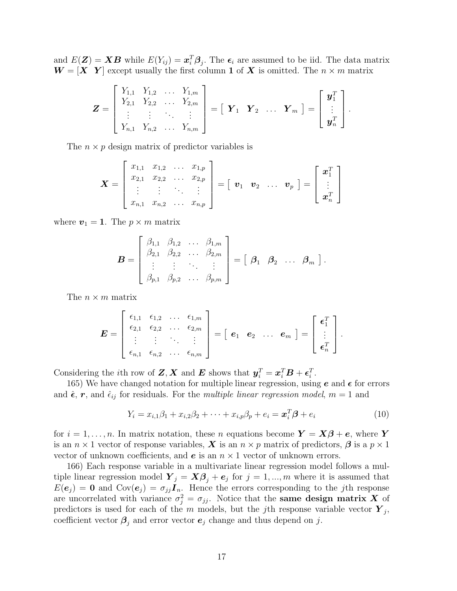and  $E(\mathbf{Z}) = \mathbf{X}\mathbf{B}$  while  $E(Y_{ij}) = \boldsymbol{x}_i^T \boldsymbol{\beta}_j$ . The  $\boldsymbol{\epsilon}_i$  are assumed to be iid. The data matrix  $W = [X \ Y]$  except usually the first column 1 of X is omitted. The  $n \times m$  matrix

$$
\mathbf{Z} = \begin{bmatrix} Y_{1,1} & Y_{1,2} & \dots & Y_{1,m} \\ Y_{2,1} & Y_{2,2} & \dots & Y_{2,m} \\ \vdots & \vdots & \ddots & \vdots \\ Y_{n,1} & Y_{n,2} & \dots & Y_{n,m} \end{bmatrix} = \begin{bmatrix} \mathbf{Y}_1 & \mathbf{Y}_2 & \dots & \mathbf{Y}_m \end{bmatrix} = \begin{bmatrix} \mathbf{y}_1^T \\ \vdots \\ \mathbf{y}_n^T \end{bmatrix}.
$$

The  $n \times p$  design matrix of predictor variables is

$$
\boldsymbol{X} = \begin{bmatrix} x_{1,1} & x_{1,2} & \dots & x_{1,p} \\ x_{2,1} & x_{2,2} & \dots & x_{2,p} \\ \vdots & \vdots & \ddots & \vdots \\ x_{n,1} & x_{n,2} & \dots & x_{n,p} \end{bmatrix} = \begin{bmatrix} \boldsymbol{v}_1 & \boldsymbol{v}_2 & \dots & \boldsymbol{v}_p \end{bmatrix} = \begin{bmatrix} \boldsymbol{x}_1^T \\ \vdots \\ \boldsymbol{x}_n^T \end{bmatrix}
$$

where  $v_1 = 1$ . The  $p \times m$  matrix

$$
\mathbf{B} = \begin{bmatrix} \beta_{1,1} & \beta_{1,2} & \dots & \beta_{1,m} \\ \beta_{2,1} & \beta_{2,2} & \dots & \beta_{2,m} \\ \vdots & \vdots & \ddots & \vdots \\ \beta_{p,1} & \beta_{p,2} & \dots & \beta_{p,m} \end{bmatrix} = \begin{bmatrix} \beta_1 & \beta_2 & \dots & \beta_m \end{bmatrix}.
$$

The  $n \times m$  matrix

$$
\boldsymbol{E} = \left[ \begin{array}{cccc} \epsilon_{1,1} & \epsilon_{1,2} & \ldots & \epsilon_{1,m} \\ \epsilon_{2,1} & \epsilon_{2,2} & \ldots & \epsilon_{2,m} \\ \vdots & \vdots & \ddots & \vdots \\ \epsilon_{n,1} & \epsilon_{n,2} & \ldots & \epsilon_{n,m} \end{array} \right] = \left[ \begin{array}{cccc} \boldsymbol{e}_1 & \boldsymbol{e}_2 & \ldots & \boldsymbol{e}_m \end{array} \right] = \left[ \begin{array}{c} \boldsymbol{\epsilon}_1^T \\ \vdots \\ \boldsymbol{\epsilon}_n^T \end{array} \right].
$$

Considering the *i*th row of  $\mathbf{Z}, \mathbf{X}$  and  $\mathbf{E}$  shows that  $\mathbf{y}_i^T = \mathbf{x}_i^T \mathbf{B} + \boldsymbol{\epsilon}_i^T$ .

165) We have changed notation for multiple linear regression, using  $e$  and  $\epsilon$  for errors and  $\hat{\epsilon}$ ,  $r$ , and  $\hat{\epsilon}_{ij}$  for residuals. For the *multiple linear regression model*,  $m = 1$  and

$$
Y_i = x_{i,1}\beta_1 + x_{i,2}\beta_2 + \dots + x_{i,p}\beta_p + e_i = \mathbf{x}_i^T \mathbf{\beta} + e_i
$$
 (10)

for  $i = 1, \ldots, n$ . In matrix notation, these n equations become  $Y = X\beta + e$ , where Y is an  $n \times 1$  vector of response variables,  $\bm{X}$  is an  $n \times p$  matrix of predictors,  $\bm{\beta}$  is a  $p \times 1$ vector of unknown coefficients, and  $e$  is an  $n \times 1$  vector of unknown errors.

166) Each response variable in a multivariate linear regression model follows a multiple linear regression model  $Y_j = X\beta_j + e_j$  for  $j = 1, ..., m$  where it is assumed that  $E(\mathbf{e}_j) = \mathbf{0}$  and  $Cov(\mathbf{e}_j) = \sigma_{jj} \mathbf{I}_n$ . Hence the errors corresponding to the jth response are uncorrelated with variance  $\sigma_j^2 = \sigma_{jj}$ . Notice that the same design matrix X of predictors is used for each of the m models, but the jth response variable vector  $\boldsymbol{Y}_j$ , coefficient vector  $\beta_i$  and error vector  $e_j$  change and thus depend on j.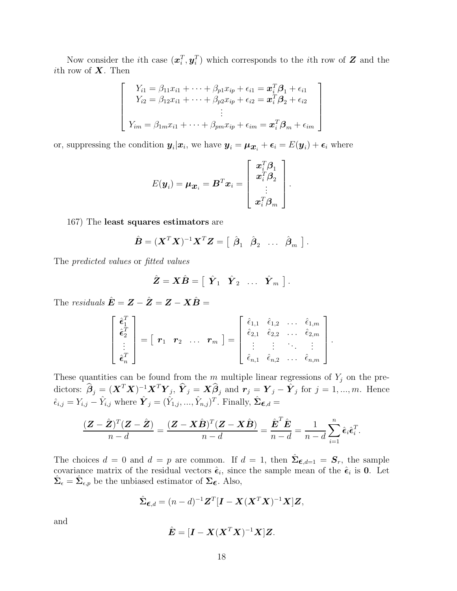Now consider the *i*th case  $(x_i^T, y_i^T)$  which corresponds to the *i*th row of Z and the ith row of  $X$ . Then

$$
\begin{bmatrix}\nY_{i1} = \beta_{11}x_{i1} + \dots + \beta_{p1}x_{ip} + \epsilon_{i1} = \boldsymbol{x}_i^T \boldsymbol{\beta}_1 + \epsilon_{i1} \\
Y_{i2} = \beta_{12}x_{i1} + \dots + \beta_{p2}x_{ip} + \epsilon_{i2} = \boldsymbol{x}_i^T \boldsymbol{\beta}_2 + \epsilon_{i2} \\
\vdots \\
Y_{im} = \beta_{1m}x_{i1} + \dots + \beta_{pm}x_{ip} + \epsilon_{im} = \boldsymbol{x}_i^T \boldsymbol{\beta}_m + \epsilon_{im}\n\end{bmatrix}
$$

or, suppressing the condition  $y_i|x_i$ , we have  $y_i = \mu_{x_i} + \epsilon_i = E(y_i) + \epsilon_i$  where

$$
E(\boldsymbol{y}_i) = \boldsymbol{\mu}_{\boldsymbol{\mathcal{X}}_i} = \boldsymbol{B}^T \boldsymbol{x}_i = \left[ \begin{array}{c} \boldsymbol{x}_i^T \boldsymbol{\beta}_1 \\ \boldsymbol{x}_i^T \boldsymbol{\beta}_2 \\ \vdots \\ \boldsymbol{x}_i^T \boldsymbol{\beta}_m \end{array} \right].
$$

167) The least squares estimators are

$$
\hat{\boldsymbol{B}} = (\boldsymbol{X}^T \boldsymbol{X})^{-1} \boldsymbol{X}^T \boldsymbol{Z} = \begin{bmatrix} \hat{\boldsymbol{\beta}}_1 & \hat{\boldsymbol{\beta}}_2 & \dots & \hat{\boldsymbol{\beta}}_m \end{bmatrix}.
$$

The predicted values or fitted values

$$
\hat{\mathbf{Z}} = \mathbf{X}\hat{\mathbf{B}} = \begin{bmatrix} \hat{\mathbf{Y}}_1 & \hat{\mathbf{Y}}_2 & \dots & \hat{\mathbf{Y}}_m \end{bmatrix}.
$$

The *residuals*  $\hat{\mathbf{E}} = \mathbf{Z} - \hat{\mathbf{Z}} = \mathbf{Z} - \mathbf{X}\hat{\mathbf{B}} =$ 

$$
\begin{bmatrix}\n\hat{\epsilon}_1^T \\
\hat{\epsilon}_2^T \\
\vdots \\
\hat{\epsilon}_n^T\n\end{bmatrix} = \begin{bmatrix}\n\boldsymbol{r}_1 & \boldsymbol{r}_2 & \dots & \boldsymbol{r}_m\n\end{bmatrix} = \begin{bmatrix}\n\hat{\epsilon}_{1,1} & \hat{\epsilon}_{1,2} & \dots & \hat{\epsilon}_{1,m} \\
\hat{\epsilon}_{2,1} & \hat{\epsilon}_{2,2} & \dots & \hat{\epsilon}_{2,m} \\
\vdots & \vdots & \ddots & \vdots \\
\hat{\epsilon}_{n,1} & \hat{\epsilon}_{n,2} & \dots & \hat{\epsilon}_{n,m}\n\end{bmatrix}.
$$

These quantities can be found from the  $m$  multiple linear regressions of  $Y_j$  on the predictors:  $\widehat{\boldsymbol{\beta}}_j = (\boldsymbol{X}^T\boldsymbol{X})^{-1}\boldsymbol{X}^T\boldsymbol{Y}_j, \ \widehat{\boldsymbol{Y}}_j = \boldsymbol{X}\widehat{\boldsymbol{\beta}}_j \ \text{and} \ \boldsymbol{r}_j = \boldsymbol{Y}_j - \hat{\boldsymbol{Y}}_j \ \text{for} \ j=1,...,m.$  Hence  $\hat{\epsilon}_{i,j} = Y_{i,j} - \hat{Y}_{i,j}$  where  $\hat{\boldsymbol{Y}}_j = (\hat{Y}_{1,j},...,\hat{Y}_{n,j})^T$ . Finally,  $\hat{\boldsymbol{\Sigma}}_{\boldsymbol{\epsilon},d} =$ 

$$
\frac{(\mathbf{Z}-\hat{\mathbf{Z}})^{T}(\mathbf{Z}-\hat{\mathbf{Z}})}{n-d} = \frac{(\mathbf{Z}-\mathbf{X}\hat{\mathbf{B}})^{T}(\mathbf{Z}-\mathbf{X}\hat{\mathbf{B}})}{n-d} = \frac{\hat{\mathbf{E}}^{T}\hat{\mathbf{E}}}{n-d} = \frac{1}{n-d}\sum_{i=1}^{n}\hat{\epsilon}_{i}\hat{\epsilon}_{i}^{T}.
$$

The choices  $d = 0$  and  $d = p$  are common. If  $d = 1$ , then  $\hat{\Sigma}_{\epsilon, d=1} = \mathbf{S}_r$ , the sample covariance matrix of the residual vectors  $\hat{\epsilon}_i$ , since the sample mean of the  $\hat{\epsilon}_i$  is 0. Let  $\hat{\Sigma}_{\epsilon} = \hat{\Sigma}_{\epsilon,p}$  be the unbiased estimator of  $\Sigma_{\epsilon}$ . Also,

$$
\hat{\Sigma}_{\boldsymbol{\epsilon},d} = (n-d)^{-1} \boldsymbol{Z}^T [\boldsymbol{I} - \boldsymbol{X} (\boldsymbol{X}^T \boldsymbol{X})^{-1} \boldsymbol{X}] \boldsymbol{Z},
$$

and

$$
\hat{\mathbf{E}} = [\mathbf{I} - \mathbf{X} (\mathbf{X}^T \mathbf{X})^{-1} \mathbf{X} ] \mathbf{Z}.
$$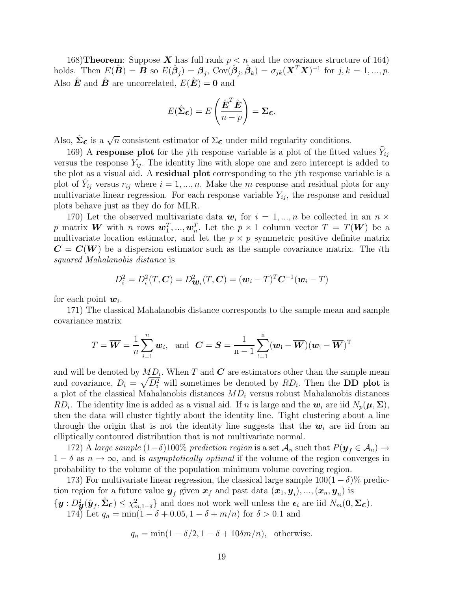168) Theorem: Suppose X has full rank  $p < n$  and the covariance structure of 164) holds. Then  $E(\hat{\boldsymbol{B}}) = \hat{\boldsymbol{B}}$  so  $E(\hat{\boldsymbol{\beta}}_j) = \boldsymbol{\beta}_j$ ,  $Cov(\hat{\boldsymbol{\beta}}_j, \hat{\boldsymbol{\beta}}_k) = \sigma_{jk}(\boldsymbol{X}^T\boldsymbol{X})^{-1}$  for  $j, k = 1, ..., p$ . Also  $\hat{\boldsymbol{E}}$  and  $\hat{\boldsymbol{B}}$  are uncorrelated,  $E(\hat{\boldsymbol{E}}) = \boldsymbol{0}$  and

$$
E(\hat{\Sigma}_{\epsilon}) = E\left(\frac{\hat{\boldsymbol{E}}^T \hat{\boldsymbol{E}}}{n-p}\right) = \Sigma_{\epsilon}.
$$

Also,  $\hat{\Sigma}_{\epsilon}$  is a  $\sqrt{n}$  consistent estimator of  $\Sigma_{\epsilon}$  under mild regularity conditions.

169) A response plot for the j<sup>th</sup> response variable is a plot of the fitted values  $Y_{ij}$ versus the response  $Y_{ij}$ . The identity line with slope one and zero intercept is added to the plot as a visual aid. A residual plot corresponding to the jth response variable is a plot of  $\hat{Y}_{ij}$  versus  $r_{ij}$  where  $i = 1, ..., n$ . Make the m response and residual plots for any multivariate linear regression. For each response variable  $Y_{ij}$ , the response and residual plots behave just as they do for MLR.

170) Let the observed multivariate data  $w_i$  for  $i = 1, ..., n$  be collected in an  $n \times$ p matrix **W** with n rows  $\mathbf{w}_1^T, ..., \mathbf{w}_n^T$ . Let the  $p \times 1$  column vector  $T = T(\mathbf{W})$  be a multivariate location estimator, and let the  $p \times p$  symmetric positive definite matrix  $C = C(W)$  be a dispersion estimator such as the sample covariance matrix. The *i*th squared Mahalanobis distance is

$$
D_i^2 = D_i^2(T, \mathbf{C}) = D_{\mathbf{W}_i}^2(T, \mathbf{C}) = (\mathbf{w}_i - T)^T \mathbf{C}^{-1} (\mathbf{w}_i - T)
$$

for each point  $w_i$ .

171) The classical Mahalanobis distance corresponds to the sample mean and sample covariance matrix

$$
T = \overline{\boldsymbol{W}} = \frac{1}{n} \sum_{i=1}^{n} \boldsymbol{w}_i, \text{ and } \boldsymbol{C} = \boldsymbol{S} = \frac{1}{n-1} \sum_{i=1}^{n} (\boldsymbol{w}_i - \overline{\boldsymbol{W}}) (\boldsymbol{w}_i - \overline{\boldsymbol{W}})^T
$$

and will be denoted by  $MD_i$ . When T and C are estimators other than the sample mean and covariance,  $D_i = \sqrt{D_i^2}$  will sometimes be denoted by  $RD_i$ . Then the DD plot is a plot of the classical Mahalanobis distances  $MD_i$  versus robust Mahalanobis distances  $RD_i$ . The identity line is added as a visual aid. If n is large and the  $w_i$  are iid  $N_p(\mu, \Sigma)$ , then the data will cluster tightly about the identity line. Tight clustering about a line through the origin that is not the identity line suggests that the  $w_i$  are iid from an elliptically contoured distribution that is not multivariate normal.

172) A large sample  $(1-\delta)100\%$  prediction region is a set  $\mathcal{A}_n$  such that  $P(\mathbf{y}_f \in \mathcal{A}_n) \to$  $1 - \delta$  as  $n \to \infty$ , and is asymptotically optimal if the volume of the region converges in probability to the volume of the population minimum volume covering region.

173) For multivariate linear regression, the classical large sample  $100(1 - \delta)$ % prediction region for a future value  $\bm{y}_f$  given  $\bm{x}_f$  and past data  $(\bm{x}_1, \bm{y}_i), ..., (\bm{x}_n, \bm{y}_n)$  is  $\{y: D_y^2(\hat{y}_f, \hat{\Sigma}_{\boldsymbol{\epsilon}}) \leq \chi^2_{m,1-\delta}\}\$ and does not work well unless the  $\boldsymbol{\epsilon}_i$  are iid  $N_m(0, \Sigma_{\boldsymbol{\epsilon}}).$ 

174) Let  $q_n = \min(1 - \delta + 0.05, 1 - \delta + m/n)$  for  $\delta > 0.1$  and

$$
q_n = \min(1 - \delta/2, 1 - \delta + 10\delta m/n), \text{ otherwise.}
$$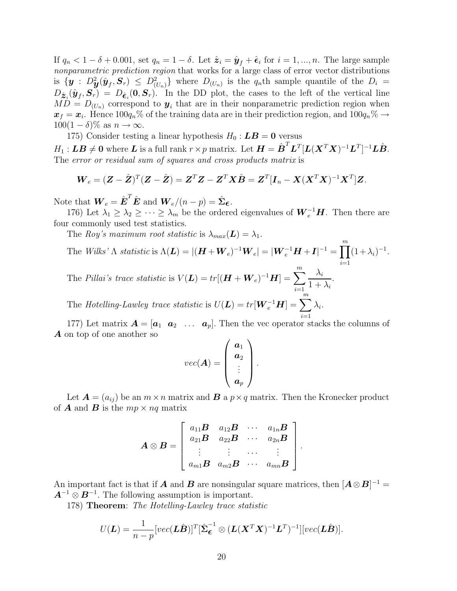If  $q_n < 1 - \delta + 0.001$ , set  $q_n = 1 - \delta$ . Let  $\hat{\mathbf{z}}_i = \hat{\mathbf{y}}_f + \hat{\boldsymbol{\epsilon}}_i$  for  $i = 1, ..., n$ . The large sample nonparametric prediction region that works for a large class of error vector distributions is  $\{y : D^2_{\mathbf{y}}(\hat{\mathbf{y}}_f, \mathbf{S}_r) \leq D^2_{(U_n)}\}$  where  $D_{(U_n)}$  is the  $q_n$ th sample quantile of the  $D_i =$  $D_{\hat{\mathcal{Z}}_i}(\hat{\pmb{y}}_f, \pmb{S}_r) = D_{\hat{\mathbf{c}}_i}(\pmb{0}, \pmb{S}_r)$ . In the DD plot, the cases to the left of the vertical line  $MD = D_{(U_n)}$  correspond to  $y_i$  that are in their nonparametric prediction region when  $x_f = x_i$ . Hence  $100q_n\%$  of the training data are in their prediction region, and  $100q_n\% \to$  $100(1 - \delta)\%$  as  $n \to \infty$ .

175) Consider testing a linear hypothesis  $H_0$ :  $\boldsymbol{LB}=0$  versus

 $H_1: \bm{LB}\neq \bm{0} \textrm{ where } \bm{L} \textrm{ is a full rank } r\times p \textrm{ matrix.} \textrm{ Let } \bm{H} = \hat{\bm{B}}^T \bm{L}^T [\bm{L}(\bm{X}^T\bm{X})^{-1}\bm{L}^T]^{-1}\bm{L}\hat{\bm{B}}.$ The error or residual sum of squares and cross products matrix is

$$
\boldsymbol{W}_e = (\boldsymbol{Z} - \hat{\boldsymbol{Z}})^T (\boldsymbol{Z} - \hat{\boldsymbol{Z}}) = \boldsymbol{Z}^T \boldsymbol{Z} - \boldsymbol{Z}^T \boldsymbol{X} \hat{\boldsymbol{B}} = \boldsymbol{Z}^T [\boldsymbol{I}_n - \boldsymbol{X} (\boldsymbol{X}^T \boldsymbol{X})^{-1} \boldsymbol{X}^T] \boldsymbol{Z}.
$$

Note that  $\boldsymbol{W}_e = \hat{\boldsymbol{E}}^T \hat{\boldsymbol{E}}$  and  $\boldsymbol{W}_e/(n-p) = \hat{\boldsymbol{\Sigma}}_{\boldsymbol{\epsilon}}$ .

176) Let  $\lambda_1 \geq \lambda_2 \geq \cdots \geq \lambda_m$  be the ordered eigenvalues of  $\boldsymbol{W}_e^{-1}\boldsymbol{H}$ . Then there are four commonly used test statistics.

The Roy's maximum root statistic is  $\lambda_{max}(\mathbf{L}) = \lambda_1$ .

The Wilks'  $\Lambda$  statistic is  $\Lambda(\mathbf{L}) = |(\mathbf{H} + \mathbf{W}_e)^{-1}\mathbf{W}_e| = |\mathbf{W}_e^{-1}\mathbf{H} + \mathbf{I}|^{-1} = \prod^m$  $i=1$  $(1+\lambda_i)^{-1}$ . The Pillai's trace statistic is  $V(\boldsymbol{L}) = tr[(\boldsymbol{H} + \boldsymbol{W}_e)^{-1}\boldsymbol{H}] = \sum^m$  $i=1$  $\lambda_i$  $1 + \lambda_i$ .

The Hotelling-Lawley trace statistic is  $U(\boldsymbol{L}) = tr[\boldsymbol{W}_e^{-1} \boldsymbol{H}] = \sum^m$  $i=1$  $\lambda_i.$ 

177) Let matrix  $\mathbf{A} = [\mathbf{a}_1 \ \mathbf{a}_2 \ \dots \ \mathbf{a}_p].$  Then the vec operator stacks the columns of A on top of one another so

$$
vec(\bm{A}) = \left(\begin{array}{c} \bm{a}_1 \\ \bm{a}_2 \\ \vdots \\ \bm{a}_p \end{array}\right).
$$

Let  $\mathbf{A} = (a_{ij})$  be an  $m \times n$  matrix and  $\mathbf{B}$  a  $p \times q$  matrix. Then the Kronecker product of **A** and **B** is the  $mp \times nq$  matrix

$$
\boldsymbol{A} \otimes \boldsymbol{B} = \left[ \begin{array}{cccc} a_{11}\boldsymbol{B} & a_{12}\boldsymbol{B} & \cdots & a_{1n}\boldsymbol{B} \\ a_{21}\boldsymbol{B} & a_{22}\boldsymbol{B} & \cdots & a_{2n}\boldsymbol{B} \\ \vdots & \vdots & \cdots & \vdots \\ a_{m1}\boldsymbol{B} & a_{m2}\boldsymbol{B} & \cdots & a_{mn}\boldsymbol{B} \end{array} \right]
$$

.

An important fact is that if **A** and **B** are nonsingular square matrices, then  $[\mathbf{A} \otimes \mathbf{B}]^{-1} =$  $A^{-1} \otimes B^{-1}$ . The following assumption is important.

178) Theorem: The Hotelling-Lawley trace statistic

$$
U(\mathbf{L}) = \frac{1}{n-p} [vec(\mathbf{L}\hat{\mathbf{B}})]^T [\hat{\boldsymbol{\Sigma}}_{\boldsymbol{\epsilon}}^{-1} \otimes (\mathbf{L}(\mathbf{X}^T\mathbf{X})^{-1}\mathbf{L}^T)^{-1}] [vec(\mathbf{L}\hat{\mathbf{B}})].
$$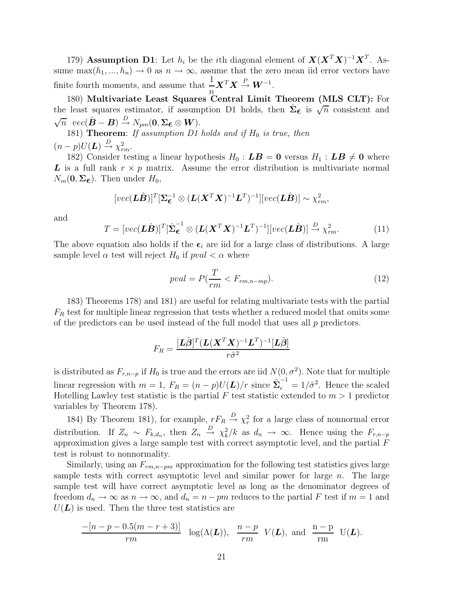179) Assumption D1: Let  $h_i$  be the *i*th diagonal element of  $\mathbf{X} (\mathbf{X}^T \mathbf{X})^{-1} \mathbf{X}^T$ . Assume max $(h_1, ..., h_n) \to 0$  as  $n \to \infty$ , assume that the zero mean iid error vectors have finite fourth moments, and assume that  $\frac{1}{n} \mathbf{X}^T \mathbf{X} \stackrel{P}{\rightarrow} \mathbf{W}^{-1}$ .  $\frac{n}{2}$ 

180) Multivariate Least Squares Central Limit Theorem (MLS CLT): For the least squares estimator, if assumption D1 holds, then  $\hat{\Sigma}_{\epsilon}$  is  $\sqrt{n}$  consistent and  $\sqrt{n} \ \ vec(\hat{\mathbf{B}} - \mathbf{B}) \overset{D}{\rightarrow} N_{pm}(\mathbf{0}, \mathbf{\Sigma}_{\boldsymbol{\epsilon}} \otimes \mathbf{W}).$ 

181) Theorem: If assumption D1 holds and if  $H_0$  is true, then  $(n-p)U(\mathbf{L}) \stackrel{D}{\rightarrow} \chi^2_{rm}.$ 

182) Consider testing a linear hypothesis  $H_0$ :  $\boldsymbol{LB} = \boldsymbol{0}$  versus  $H_1$ :  $\boldsymbol{LB} \neq \boldsymbol{0}$  where L is a full rank  $r \times p$  matrix. Assume the error distribution is multivariate normal  $N_m(\mathbf{0}, \Sigma_{\boldsymbol{\epsilon}})$ . Then under  $H_0$ ,

$$
[vec(\boldsymbol{L}\hat{\boldsymbol{B}})]^T[\boldsymbol{\Sigma}_{\boldsymbol{\epsilon}}^{-1} \otimes (\boldsymbol{L}(\boldsymbol{X}^T\boldsymbol{X})^{-1}\boldsymbol{L}^T)^{-1}][vec(\boldsymbol{L}\hat{\boldsymbol{B}})] \sim \chi_{rm}^2,
$$

and

$$
T = [vec(\mathbf{L}\hat{\mathbf{B}})]^T [\hat{\boldsymbol{\Sigma}}_{\boldsymbol{\epsilon}}^{-1} \otimes (\mathbf{L}(\mathbf{X}^T \mathbf{X})^{-1} \mathbf{L}^T)^{-1}][vec(\mathbf{L}\hat{\mathbf{B}})] \xrightarrow{D} \chi_{rm}^2.
$$
 (11)

The above equation also holds if the  $\epsilon_i$  are iid for a large class of distributions. A large sample level  $\alpha$  test will reject  $H_0$  if  $pval < \alpha$  where

$$
pval = P(\frac{T}{rm} < F_{rm,n-mp}).\tag{12}
$$

183) Theorems 178) and 181) are useful for relating multivariate tests with the partial  $F_R$  test for multiple linear regression that tests whether a reduced model that omits some of the predictors can be used instead of the full model that uses all  $p$  predictors.

$$
F_R = \frac{[\boldsymbol{L}\hat{\boldsymbol{\beta}}]^T(\boldsymbol{L}(\boldsymbol{X}^T\boldsymbol{X})^{-1}\boldsymbol{L}^T)^{-1}[\boldsymbol{L}\hat{\boldsymbol{\beta}}]}{r\hat{\sigma}^2}
$$

is distributed as  $F_{r,n-p}$  if  $H_0$  is true and the errors are iid  $N(0, \sigma^2)$ . Note that for multiple linear regression with  $m = 1$ ,  $F_R = (n - p)U(L)/r$  since  $\hat{\Sigma}_{\epsilon}^{-1} = 1/\hat{\sigma}^2$ . Hence the scaled Hotelling Lawley test statistic is the partial F test statistic extended to  $m > 1$  predictor variables by Theorem 178).

184) By Theorem 181), for example,  $rF_R \stackrel{D}{\rightarrow} \chi^2_r$  for a large class of nonnormal error distribution. If  $Z_n \sim F_{k,d_n}$ , then  $Z_n \stackrel{D}{\to} \chi^2_k/k$  as  $d_n \to \infty$ . Hence using the  $F_{r,n-p}$ approximation gives a large sample test with correct asymptotic level, and the partial  $\overline{F}$ test is robust to nonnormality.

Similarly, using an  $F_{rm-m-pm}$  approximation for the following test statistics gives large sample tests with correct asymptotic level and similar power for large  $n$ . The large sample test will have correct asymptotic level as long as the denominator degrees of freedom  $d_n \to \infty$  as  $n \to \infty$ , and  $d_n = n - pm$  reduces to the partial F test if  $m = 1$  and  $U(\mathbf{L})$  is used. Then the three test statistics are

$$
\frac{-[n-p-0.5(m-r+3)]}{rm} \log(\Lambda(\mathbf{L})), \frac{n-p}{rm} V(\mathbf{L}), \text{ and } \frac{n-p}{rm} U(\mathbf{L}).
$$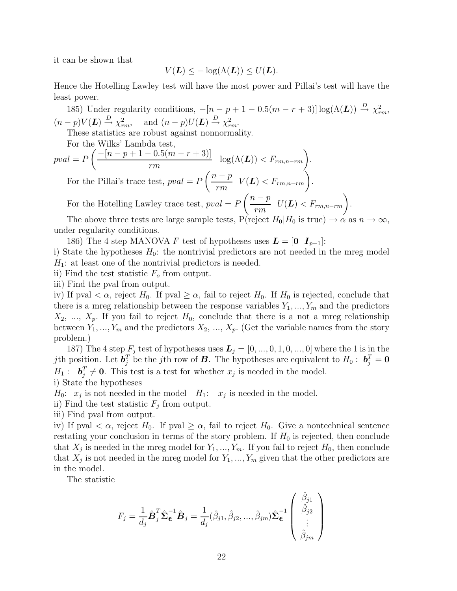it can be shown that

$$
V(\mathbf{L}) \leq -\log(\Lambda(\mathbf{L})) \leq U(\mathbf{L}).
$$

Hence the Hotelling Lawley test will have the most power and Pillai's test will have the least power.

185) Under regularity conditions,  $-[n-p+1-0.5(m-r+3)]\log(\Lambda(\mathbf{L})) \stackrel{D}{\rightarrow} \chi^2_{rm}$  $(n-p)V(\mathbf{L}) \stackrel{D}{\rightarrow} \chi^2_{rm}$ , and  $(n-p)U(\mathbf{L}) \stackrel{D}{\rightarrow} \chi^2_{rm}$ .

These statistics are robust against nonnormality.

For the Wilks' Lambda test,

$$
pval = P\left(\frac{-[n-p+1-0.5(m-r+3)]}{rm} \log(\Lambda(\mathbf{L})) < F_{rm,n-rm}\right).
$$
\nFor the Pillai's trace test,  $pval = P\left(\frac{n-p}{rm} \quad V(\mathbf{L}) < F_{rm,n-rm}\right).$ 

For the Hotelling Lawley trace test,  $pval = P$  $\left(\frac{n-p}{\cdots}\right)$  $rac{p-p}{rm}$   $U(L) < F_{rm,m,n-rm}$ .

The above three tests are large sample tests,  $P(\text{reject } H_0|H_0 \text{ is true}) \to \alpha \text{ as } n \to \infty$ , under regularity conditions.

186) The 4 step MANOVA F test of hypotheses uses  $\boldsymbol{L} = [\boldsymbol{0} \ \boldsymbol{I}_{p-1}]$ :

i) State the hypotheses  $H_0$ : the nontrivial predictors are not needed in the mreg model  $H_1$ : at least one of the nontrivial predictors is needed.

ii) Find the test statistic  $F<sub>o</sub>$  from output.

iii) Find the pval from output.

iv) If pval  $\langle \alpha, \text{reject } H_0$ . If pval  $\geq \alpha$ , fail to reject  $H_0$ . If  $H_0$  is rejected, conclude that there is a mreg relationship between the response variables  $Y_1, ..., Y_m$  and the predictors  $X_2, \ldots, X_p$ . If you fail to reject  $H_0$ , conclude that there is a not a mreg relationship between  $Y_1, ..., Y_m$  and the predictors  $X_2, ..., X_p$ . (Get the variable names from the story problem.)

187) The 4 step  $F_j$  test of hypotheses uses  $\boldsymbol{L}_j = [0, ..., 0, 1, 0, ..., 0]$  where the 1 is in the *j*th position. Let  $\boldsymbol{b}_j^T$  be the *j*th row of **B**. The hypotheses are equivalent to  $H_0: \boldsymbol{b}_j^T = \mathbf{0}$  $H_1: \quad \boldsymbol{b}_i^T$  $j \neq 0$ . This test is a test for whether  $x_j$  is needed in the model.

i) State the hypotheses

 $H_0: x_j$  is not needed in the model  $H_1: x_j$  is needed in the model.

ii) Find the test statistic  $F_i$  from output.

iii) Find pval from output.

iv) If pval  $\langle \alpha, \text{ reject } H_0$ . If pval  $\geq \alpha$ , fail to reject  $H_0$ . Give a nontechnical sentence restating your conclusion in terms of the story problem. If  $H_0$  is rejected, then conclude that  $X_i$  is needed in the mreg model for  $Y_1, ..., Y_m$ . If you fail to reject  $H_0$ , then conclude that  $X_j$  is not needed in the mreg model for  $Y_1, ..., Y_m$  given that the other predictors are in the model.

The statistic

$$
F_j = \frac{1}{d_j} \hat{\boldsymbol{B}}_j^T \hat{\boldsymbol{\Sigma}}_{\boldsymbol{\epsilon}}^{-1} \hat{\boldsymbol{B}}_j = \frac{1}{d_j} (\hat{\beta}_{j1}, \hat{\beta}_{j2}, ..., \hat{\beta}_{jm}) \hat{\boldsymbol{\Sigma}}_{\boldsymbol{\epsilon}}^{-1} \begin{pmatrix} \hat{\beta}_{j1} \\ \hat{\beta}_{j2} \\ \vdots \\ \hat{\beta}_{jm} \end{pmatrix}
$$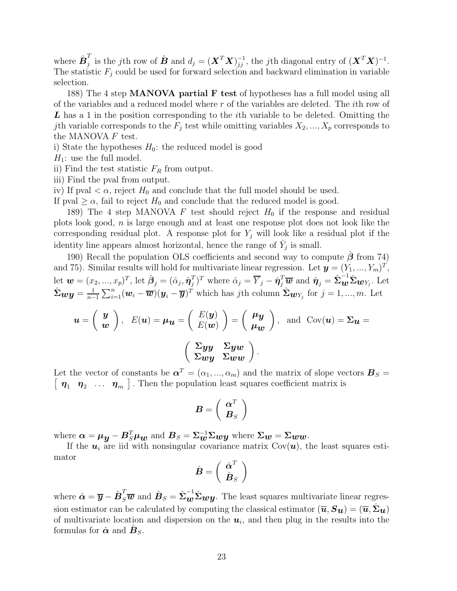where  $\hat{\boldsymbol{B}}_{i}^{T}$  $_j^T$  is the jth row of  $\hat{\boldsymbol{B}}$  and  $d_j = (\boldsymbol{X}^T\boldsymbol{X})_{jj}^{-1}$ , the jth diagonal entry of  $(\boldsymbol{X}^T\boldsymbol{X})^{-1}$ . The statistic  $F_j$  could be used for forward selection and backward elimination in variable selection.

188) The 4 step MANOVA partial F test of hypotheses has a full model using all of the variables and a reduced model where  $r$  of the variables are deleted. The *i*th row of L has a 1 in the position corresponding to the *i*th variable to be deleted. Omitting the jth variable corresponds to the  $F_j$  test while omitting variables  $X_2, ..., X_p$  corresponds to the MANOVA F test.

i) State the hypotheses  $H_0$ : the reduced model is good

 $H_1$ : use the full model.

ii) Find the test statistic  $F_R$  from output.

iii) Find the pval from output.

iv) If pval  $\langle \alpha, \text{reject } H_0 \text{ and conclude that the full model should be used.}$ 

If pval  $\geq \alpha$ , fail to reject  $H_0$  and conclude that the reduced model is good.

189) The 4 step MANOVA F test should reject  $H_0$  if the response and residual plots look good, n is large enough and at least one response plot does not look like the corresponding residual plot. A response plot for  $Y_j$  will look like a residual plot if the identity line appears almost horizontal, hence the range of  $\hat{Y}_j$  is small.

190) Recall the population OLS coefficients and second way to compute  $\beta$  from 74) and 75). Similar results will hold for multivariate linear regression. Let  $\mathbf{y} = (Y_1, ..., Y_m)^T$ , let  $\boldsymbol{w}=(x_2,...,x_p)^T$ , let  $\hat{\boldsymbol{\beta}}_j=(\hat{\alpha}_j,\hat{\boldsymbol{\eta}}_j^T)$  $(\hat{I}_j)^T$  where  $\hat{\alpha}_j = \overline{Y}_j - \hat{\eta}_j^T \overline{\boldsymbol{w}}$  and  $\hat{\boldsymbol{\eta}}_j = \hat{\boldsymbol{\Sigma}} \mathbf{w}^{-1} \hat{\boldsymbol{\Sigma}} \mathbf{w}_{Y_j}$ . Let  $\hat{\mathbf{\Sigma}}_{\mathbf{w}} \mathbf{y} = \frac{1}{n-1} \sum_{i=1}^{n} (\mathbf{w}_i - \overline{\mathbf{w}})(\mathbf{y}_i - \overline{\mathbf{y}})^T$  which has jth column  $\hat{\mathbf{\Sigma}}_{\mathbf{w}} \mathbf{y}_j$  for  $j = 1, ..., m$ . Let

$$
\mathbf{u} = \begin{pmatrix} \mathbf{y} \\ \mathbf{w} \end{pmatrix}, \quad E(\mathbf{u}) = \mu_{\mathbf{u}} = \begin{pmatrix} E(\mathbf{y}) \\ E(\mathbf{w}) \end{pmatrix} = \begin{pmatrix} \mu_{\mathbf{y}} \\ \mu_{\mathbf{w}} \end{pmatrix}, \text{ and } \text{Cov}(\mathbf{u}) = \Sigma_{\mathbf{u}} =
$$

$$
\begin{pmatrix} \Sigma_{\mathbf{y}\mathbf{y}} & \Sigma_{\mathbf{y}\mathbf{w}} \\ \Sigma_{\mathbf{w}\mathbf{y}} & \Sigma_{\mathbf{w}\mathbf{w}} \end{pmatrix}.
$$

Let the vector of constants be  $\boldsymbol{\alpha}^T = (\alpha_1, ..., \alpha_m)$  and the matrix of slope vectors  $\boldsymbol{B}_S =$  $\eta_1$   $\eta_2$  ...  $\eta_m$ ]. Then the population least squares coefficient matrix is

$$
\boldsymbol{B}=\left(\begin{array}{c} \boldsymbol{\alpha}^T \\ \boldsymbol{B}_S \end{array}\right)
$$

where  $\bm{\alpha} = \bm{\mu}_{\bm{y}} - \bm{B}_S^T\bm{\mu}_{\bm{w}}$  and  $\bm{B}_S = \bm{\Sigma}_{\bm{w}}^{-1}\bm{\Sigma}_{\bm{w}\bm{y}}$  where  $\bm{\Sigma}_{\bm{w}} = \bm{\Sigma}_{\bm{w}\bm{w}}$ .

If the  $u_i$  are iid with nonsingular covariance matrix  $Cov(u)$ , the least squares estimator

$$
\hat{\boldsymbol{B}}=\left(\begin{array}{c}\hat{\boldsymbol{\alpha}}^{T}\\ \hat{\boldsymbol{B}}_{S}\end{array}\right)
$$

where  $\hat{\alpha} = \overline{y} - \hat{B}_S^T \overline{w}$  and  $\hat{B}_S = \hat{\Sigma}_{\bm{w}}^{-1} \hat{\Sigma}_{\bm{w}} y$ . The least squares multivariate linear regression estimator can be calculated by computing the classical estimator  $(\overline{u},S_u) = (\overline{u},\Sigma_u)$ of multivariate location and dispersion on the  $u_i$ , and then plug in the results into the formulas for  $\hat{\boldsymbol{\alpha}}$  and  $\hat{\boldsymbol{B}}_S$ .